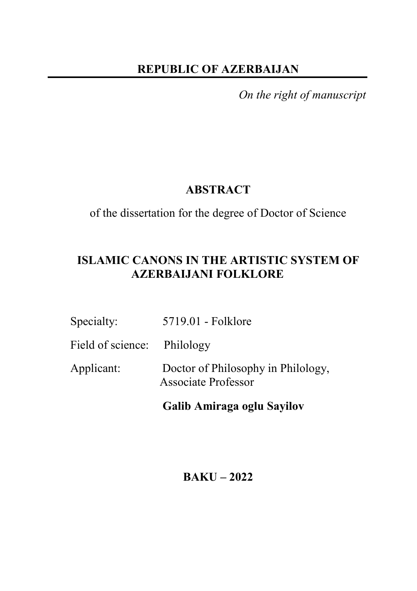## **REPUBLIC OF AZERBAIJAN**

*On the right of manuscript* 

## **ABSTRACT**

of the dissertation for the degree of Doctor of Science

# **ISLAMIC CANONS IN THE ARTISTIC SYSTEM OF AZERBAIJANI FOLKLORE**

| Specialty:                  | 5719.01 - Folklore                                               |
|-----------------------------|------------------------------------------------------------------|
| Field of science: Philology |                                                                  |
| Applicant:                  | Doctor of Philosophy in Philology,<br><b>Associate Professor</b> |

 **Galib Amiraga oglu Sayilov** 

# **BAKU – 2022**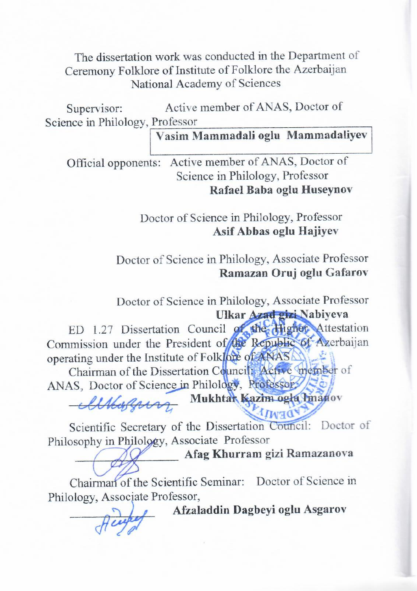The dissertation work was conducted in the Department of Ceremony Folklore of Institute of Folklore the Azerbaijan National Academy of Sciences

Supervisor: Active member of ANAS, Doctor of Science in Philology, Professor

# **Vasim Mammadali oglu Mammadaliyev**

Official opponents: Active member of ANAS, Doctor of Science in Philology, Professor **Rafael Baba oglu Huseynov** 

> Doctor of Science in Philology, Professor **Asif Abbas oglu Hajiyev**

Doctor of Science in Philology, Associate Professor **Ramazan Oruj oglu Gafarov**

Doctor of Science in Philology, Associate Professor

 **Ulkar Azad gizi Nabiyeva** 

ED 1.27 Dissertation Council of the Higher Attestation Commission under the President of the Republic of Azerbaijan operating under the Institute of Folklore of ANAS

Chairman of the Dissertation Council: Active member of ANAS, Doctor of Science in Philology, Professor,

\_\_\_\_\_\_\_\_\_\_\_\_\_\_\_\_\_\_ **Mukhtar Kazim oglu Imanov**

Scientific Secretary of the Dissertation Council: Doctor of Philosophy in Philology, Associate Professor

\_\_\_\_\_\_\_\_\_\_\_\_\_\_\_\_\_ **Afag Khurram gizi Ramazanova**

Chairman of the Scientific Seminar: Doctor of Science in Philology, Associate Professor,

\_\_\_\_\_\_\_\_\_\_\_\_\_\_ **Afzaladdin Dagbeyi oglu Asgarov**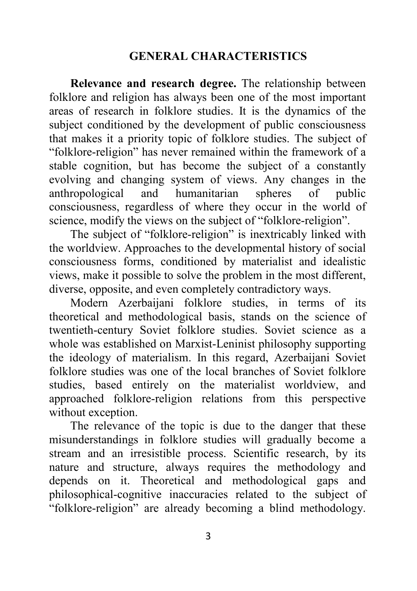### **GENERAL CHARACTERISTICS**

**Relevance and research degree.** The relationship between folklore and religion has always been one of the most important areas of research in folklore studies. It is the dynamics of the subject conditioned by the development of public consciousness that makes it a priority topic of folklore studies. The subject of "folklore-religion" has never remained within the framework of a stable cognition, but has become the subject of a constantly evolving and changing system of views. Any changes in the anthropological and humanitarian spheres of public consciousness, regardless of where they occur in the world of science, modify the views on the subject of "folklore-religion".

The subject of "folklore-religion" is inextricably linked with the worldview. Approaches to the developmental history of social consciousness forms, conditioned by materialist and idealistic views, make it possible to solve the problem in the most different, diverse, opposite, and even completely contradictory ways.

Modern Azerbaijani folklore studies, in terms of its theoretical and methodological basis, stands on the science of twentieth-century Soviet folklore studies. Soviet science as a whole was established on Marxist-Leninist philosophy supporting the ideology of materialism. In this regard, Azerbaijani Soviet folklore studies was one of the local branches of Soviet folklore studies, based entirely on the materialist worldview, and approached folklore-religion relations from this perspective without exception.

The relevance of the topic is due to the danger that these misunderstandings in folklore studies will gradually become a stream and an irresistible process. Scientific research, by its nature and structure, always requires the methodology and depends on it. Theoretical and methodological gaps and philosophical-cognitive inaccuracies related to the subject of "folklore-religion" are already becoming a blind methodology.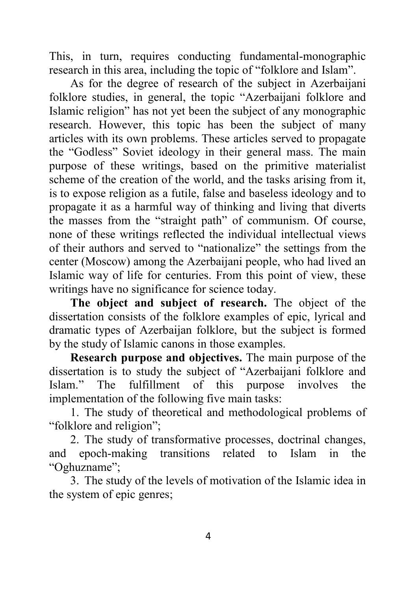This, in turn, requires conducting fundamental-monographic research in this area, including the topic of "folklore and Islam".

As for the degree of research of the subject in Azerbaijani folklore studies, in general, the topic "Azerbaijani folklore and Islamic religion" has not yet been the subject of any monographic research. However, this topic has been the subject of many articles with its own problems. These articles served to propagate the "Godless" Soviet ideology in their general mass. The main purpose of these writings, based on the primitive materialist scheme of the creation of the world, and the tasks arising from it, is to expose religion as a futile, false and baseless ideology and to propagate it as a harmful way of thinking and living that diverts the masses from the "straight path" of communism. Of course, none of these writings reflected the individual intellectual views of their authors and served to "nationalize" the settings from the center (Moscow) among the Azerbaijani people, who had lived an Islamic way of life for centuries. From this point of view, these writings have no significance for science today.

**The object and subject of research.** The object of the dissertation consists of the folklore examples of epic, lyrical and dramatic types of Azerbaijan folklore, but the subject is formed by the study of Islamic canons in those examples.

**Research purpose and objectives.** The main purpose of the dissertation is to study the subject of "Azerbaijani folklore and Islam." The fulfillment of this purpose involves the implementation of the following five main tasks:

1. The study of theoretical and methodological problems of "folklore and religion";

2. The study of transformative processes, doctrinal changes, and epoch-making transitions related to Islam in the "Oghuzname";

3. The study of the levels of motivation of the Islamic idea in the system of epic genres;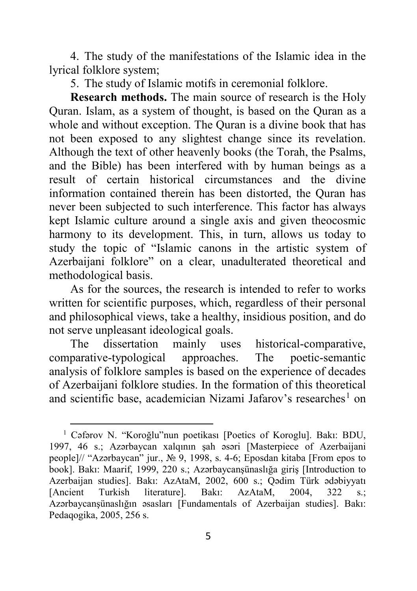4. The study of the manifestations of the Islamic idea in the lyrical folklore system;

5. The study of Islamic motifs in ceremonial folklore.

**Research methods.** The main source of research is the Holy Quran. Islam, as a system of thought, is based on the Quran as a whole and without exception. The Quran is a divine book that has not been exposed to any slightest change since its revelation. Although the text of other heavenly books (the Torah, the Psalms, and the Bible) has been interfered with by human beings as a result of certain historical circumstances and the divine information contained therein has been distorted, the Quran has never been subjected to such interference. This factor has always kept Islamic culture around a single axis and given theocosmic harmony to its development. This, in turn, allows us today to study the topic of "Islamic canons in the artistic system of Azerbaijani folklore" on a clear, unadulterated theoretical and methodological basis.

As for the sources, the research is intended to refer to works written for scientific purposes, which, regardless of their personal and philosophical views, take a healthy, insidious position, and do not serve unpleasant ideological goals.

The dissertation mainly uses historical-comparative, comparative-typological approaches. The poetic-semantic analysis of folklore samples is based on the experience of decades of Azerbaijani folklore studies. In the formation of this theoretical and scientific base, academician Nizami Jafarov's researches<sup>[1](#page-4-0)</sup> on

<span id="page-4-0"></span><sup>1</sup> Cəfərov N. "Koroğlu"nun poetikası [Poetics of Koroglu]. Bakı: BDU, 1997, 46 s.; Azərbaycan xalqının şah əsəri [Masterpiece of Azerbaijani people]// "Azərbaycan" jur., № 9, 1998, s. 4-6; Eposdan kitaba [From epos to book]. Bakı: Maarif, 1999, 220 s.; Azərbaycanşünaslığa giriş [Introduction to Azerbaijan studies]. Bakı: AzAtaM, 2002, 600 s.; Qədim Türk ədəbiyyatı [Ancient Turkish literature]. Bakı: AzAtaM, 2004, 322 s.; Azərbaycanşünaslığın əsasları [Fundamentals of Azerbaijan studies]. Bakı: Pedaqogika, 2005, 256 s.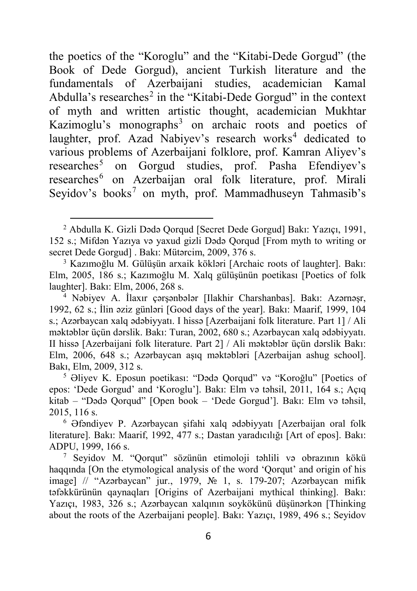the poetics of the "Koroglu" and the "Kitabi-Dede Gorgud" (the Book of Dede Gorgud), ancient Turkish literature and the fundamentals of Azerbaijani studies, academician Kamal Abdulla's researches<sup>[2](#page-5-0)</sup> in the "Kitabi-Dede Gorgud" in the context of myth and written artistic thought, academician Mukhtar Kazimoglu's monographs<sup>[3](#page-5-1)</sup> on archaic roots and poetics of laughter, prof. Azad Nabiyev's research works<sup>[4](#page-5-2)</sup> dedicated to various problems of Azerbaijani folklore, prof. Kamran Aliyev's researches<sup>[5](#page-5-3)</sup> on Gorgud studies, prof. Pasha Efendiyev's researches<sup>[6](#page-5-4)</sup> on Azerbaijan oral folk literature, prof. Mirali Seyidov's books<sup>[7](#page-5-5)</sup> on myth, prof. Mammadhuseyn Tahmasib's

 $\ddot{\phantom{a}}$ 

<span id="page-5-0"></span><sup>2</sup> Abdulla K. Gizli Dədə Qorqud [Secret Dede Gorgud] Bakı: Yazıçı, 1991, 152 s.; Mifdən Yazıya və yaxud gizli Dədə Qorqud [From myth to writing or secret Dede Gorgud] . Bakı: Mütərcim, 2009, 376 s.

<span id="page-5-1"></span><sup>3</sup> Kazımoğlu M. Gülüşün arxaik kökləri [Archaic roots of laughter]. Bakı: Elm, 2005, 186 s.; Kazımoğlu M. Xalq gülüşünün poetikası [Poetics of folk laughter]. Bakı: Elm, 2006, 268 s.

<span id="page-5-2"></span><sup>4</sup> Nəbiyev A. İlaxır çərşənbələr [Ilakhir Charshanbas]. Bakı: Azərnəşr, 1992, 62 s.; İlin əziz günləri [Good days of the year]. Bakı: Maarif, 1999, 104 s.; Azərbaycan xalq ədəbiyyatı. I hissə [Azerbaijani folk literature. Part 1] / Ali məktəblər üçün dərslik. Bakı: Turan, 2002, 680 s.; Azərbaycan xalq ədəbiyyatı. II hissə [Azerbaijani folk literature. Part 2] / Ali məktəblər üçün dərslik Bakı: Elm, 2006, 648 s.; Azərbaycan aşıq məktəbləri [Azerbaijan ashug school]. Bakı, Elm, 2009, 312 s.

<span id="page-5-3"></span><sup>5</sup> Əliyev K. Eposun poetikası: "Dədə Qorqud" və "Koroğlu" [Poetics of epos: 'Dede Gorgud' and 'Koroglu']. Bakı: Elm və təhsil, 2011, 164 s.; Açıq kitab – "Dədə Qorqud" [Open book – 'Dede Gorgud']. Bakı: Elm və təhsil, 2015, 116 s.

<span id="page-5-4"></span><sup>6</sup> Əfəndiyev P. Azərbaycan şifahi xalq ədəbiyyatı [Azerbaijan oral folk literature]. Bakı: Maarif, 1992, 477 s.; Dastan yaradıcılığı [Art of epos]. Bakı: ADPU, 1999, 166 s.

<span id="page-5-5"></span><sup>7</sup> Seyidov M. "Qorqut" sözünün etimoloji təhlili və obrazının kökü haqqında [On the etymological analysis of the word 'Qorqut' and origin of his image] // "Azərbaycan" jur., 1979, № 1, s. 179-207; Azərbaycan mifik təfəkkürünün qaynaqları [Origins of Azerbaijani mythical thinking]. Bakı: Yazıçı, 1983, 326 s.; Azərbaycan xalqının soykökünü düşünərkən [Thinking about the roots of the Azerbaijani people]. Bakı: Yazıçı, 1989, 496 s.; Seyidov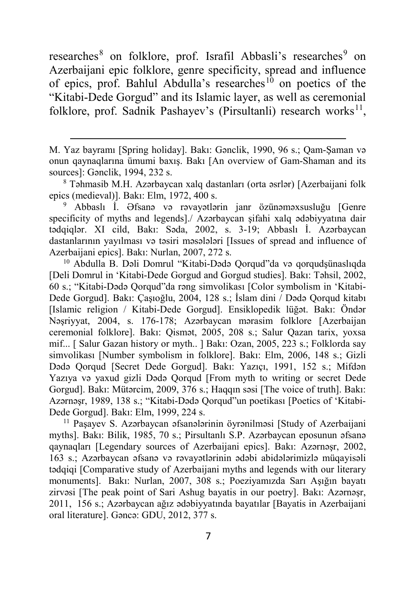researches<sup>[8](#page-6-0)</sup> on folklore, prof. Israfil Abbasli's researches<sup>[9](#page-6-1)</sup> on Azerbaijani epic folklore, genre specificity, spread and influence of epics, prof. Bahlul Abdulla's researches<sup>[10](#page-6-2)</sup> on poetics of the "Kitabi-Dede Gorgud" and its Islamic layer, as well as ceremonial folklore, prof. Sadnik Pashayev's (Pirsultanli) research works<sup>11</sup>,

-

<span id="page-6-1"></span><sup>9</sup> Abbaslı İ. Əfsanə və rəvayətlərin janr özünəməxsusluğu [Genre specificity of myths and legends]./ Azərbaycan şifahi xalq ədəbiyyatına dair tədqiqlər. XI cild, Bakı: Səda, 2002, s. 3-19; Abbaslı İ. Azərbaycan dastanlarının yayılması və təsiri məsələləri [Issues of spread and influence of Azerbaijani epics]. Bakı: Nurlan, 2007, 272 s.

<span id="page-6-2"></span><sup>10</sup> Abdulla B. Dəli Domrul "Kitabi-Dədə Qorqud"da və qorqudşünaslıqda [Deli Domrul in 'Kitabi-Dede Gorgud and Gorgud studies]. Bakı: Təhsil, 2002, 60 s.; "Kitabi-Dədə Qorqud"da rəng simvolikası [Color symbolism in 'Kitabi-Dede Gorgud]. Bakı: Çaşıoğlu, 2004, 128 s.; İslam dini / Dədə Qorqud kitabı [Islamic religion / Kitabi-Dede Gorgud]. Ensiklopedik lüğət. Bakı: Öndər Nəşriyyat, 2004, s. 176-178; Azərbaycan mərasim folklore [Azerbaijan ceremonial folklore]. Bakı: Qismət, 2005, 208 s.; Salur Qazan tarix, yoxsa mif... [ Salur Gazan history or myth.. ] Bakı: Ozan, 2005, 223 s.; Folklorda say simvolikası [Number symbolism in folklore]. Bakı: Elm, 2006, 148 s.; Gizli Dədə Qorqud [Secret Dede Gorgud]. Bakı: Yazıçı, 1991, 152 s.; Mifdən Yazıya və yaxud gizli Dədə Qorqud [From myth to writing or secret Dede Gorgud]. Bakı: Mütərcim, 2009, 376 s.; Haqqın səsi [The voice of truth]. Bakı: Azərnəşr, 1989, 138 s.; "Kitabi-Dədə Qorqud"un poetikası [Poetics of 'Kitabi-Dede Gorgud]. Bakı: Elm, 1999, 224 s.

<span id="page-6-3"></span><sup>11</sup> Paşayev S. Azərbaycan əfsanələrinin öyrənilməsi [Study of Azerbaijani myths]. Bakı: Bilik, 1985, 70 s.; Pirsultanlı S.P. Azərbaycan eposunun əfsanə qaynaqları [Legendary sources of Azerbaijani epics]. Bakı: Azərnəşr, 2002, 163 s.; Azərbaycan əfsanə və rəvayətlərinin ədəbi abidələrimizlə müqayisəli tədqiqi [Comparative study of Azerbaijani myths and legends with our literary monuments]. Bakı: Nurlan, 2007, 308 s.; Poeziyamızda Sarı Aşığın bayatı zirvəsi [The peak point of Sari Ashug bayatis in our poetry]. Bakı: Azərnəşr, 2011, 156 s.; Azərbaycan ağız ədəbiyyatında bayatılar [Bayatis in Azerbaijani oral literature]. Gəncə: GDU, 2012, 377 s.

M. Yaz bayramı [Spring holiday]. Bakı: Gənclik, 1990, 96 s.; Qam-Şaman və onun qaynaqlarına ümumi baxış. Bakı [An overview of Gam-Shaman and its sources]: Gənclik, 1994, 232 s.

<span id="page-6-0"></span><sup>8</sup> Təhmasib M.H. Azərbaycan xalq dastanları (orta əsrlər) [Azerbaijani folk epics (medieval)]. Bakı: Elm, 1972, 400 s.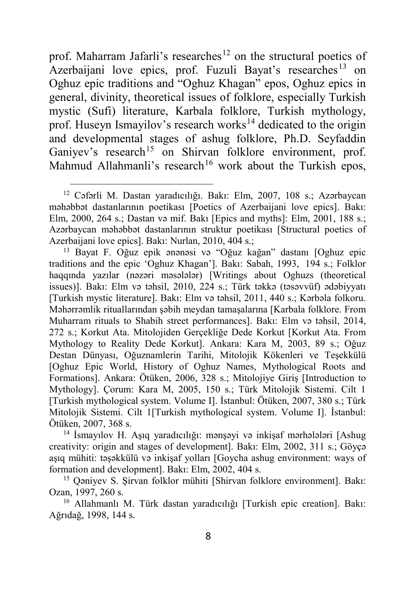prof. Maharram Jafarli's researches<sup>[12](#page-7-0)</sup> on the structural poetics of Azerbaijani love epics, prof. Fuzuli Bayat's researches<sup>[13](#page-7-1)</sup> on Oghuz epic traditions and "Oghuz Khagan" epos, Oghuz epics in general, divinity, theoretical issues of folklore, especially Turkish mystic (Sufi) literature, Karbala folklore, Turkish mythology, prof. Huseyn Ismayilov's research works<sup>[14](#page-7-2)</sup> dedicated to the origin and developmental stages of ashug folklore, Ph.D. Seyfaddin Ganivev's research<sup>[15](#page-7-3)</sup> on Shirvan folklore environment, prof. Mahmud Allahmanli's research<sup>[16](#page-7-4)</sup> work about the Turkish epos,

 $\ddot{\phantom{a}}$ 

<span id="page-7-1"></span><sup>13</sup> Bayat F. Oğuz epik ənənəsi və "Oğuz kağan" dastanı [Oghuz epic traditions and the epic 'Oghuz Khagan']. Bakı: Sabah, 1993, 194 s.; Folklor haqqında yazılar (nəzəri məsələlər) [Writings about Oghuzs (theoretical issues)]. Bakı: Elm və təhsil, 2010, 224 s.; Türk təkkə (təsəvvüf) ədəbiyyatı [Turkish mystic literature]. Bakı: Elm və təhsil, 2011, 440 s.; Kərbəla folkoru. Məhərrəmlik rituallarından şəbih meydan tamaşalarına [Karbala folklore. From Muharram rituals to Shabih street performances]. Bakı: Elm və təhsil, 2014, 272 s.; Korkut Ata. Mitolojiden Gerçekliğe Dede Korkut [Korkut Ata. From Mythology to Reality Dede Korkut]. Ankara: Kara M, 2003, 89 s.; Oğuz Destan Dünyası, Oğuznamlerin Tarihi, Mitolojik Kökenleri ve Teşekkülü [Oghuz Epic World, History of Oghuz Names, Mythological Roots and Formations]. Ankara: Ötüken, 2006, 328 s.; Mitolojiye Giriş [Introduction to Mythology]. Çorum: Kara M, 2005, 150 s.; Türk Mitolojik Sistemi. Cilt 1 [Turkish mythological system. Volume I]. İstanbul: Ötüken, 2007, 380 s.; Türk Mitolojik Sistemi. Cilt 1[Turkish mythological system. Volume I]. İstanbul: Ötüken, 2007, 368 s.

<span id="page-7-2"></span><sup>14</sup> İsmayılov H. Aşıq yaradıcılığı: mənşəyi və inkişaf mərhələləri [Ashug creativity: origin and stages of development]. Bakı: Elm, 2002, 311 s.; Göyçə aşıq mühiti: təşəkkülü və inkişaf yolları [Goycha ashug environment: ways of formation and development]. Bakı: Elm, 2002, 404 s.

<span id="page-7-3"></span><sup>15</sup> Qəniyev S. Şirvan folklor mühiti [Shirvan folklore environment]. Bakı: Ozan, 1997, 260 s.

<span id="page-7-4"></span><sup>16</sup> Allahmanlı M. Türk dastan yaradıcılığı [Turkish epic creation]. Bakı: Ağrıdağ, 1998, 144 s.

<span id="page-7-0"></span><sup>12</sup> Cəfərli M. Dastan yaradıcılığı. Bakı: Elm, 2007, 108 s.; Azərbaycan məhəbbət dastanlarının poetikası [Poetics of Azerbaijani love epics]. Bakı: Elm, 2000, 264 s.; Dastan və mif. Bakı [Epics and myths]: Elm, 2001, 188 s.; Azərbaycan məhəbbət dastanlarının struktur poetikası [Structural poetics of Azerbaijani love epics]. Bakı: Nurlan, 2010, 404 s.;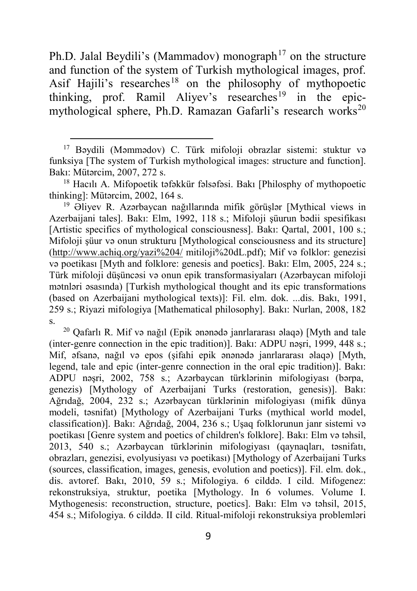Ph.D. Jalal Beydili's (Mammadov) monograph<sup>[17](#page-8-0)</sup> on the structure and function of the system of Turkish mythological images, prof. Asif Hajili's researches<sup>[18](#page-8-1)</sup> on the philosophy of mythopoetic thinking, prof. Ramil Aliyev's researches<sup>[19](#page-8-2)</sup> in the epic-mythological sphere, Ph.D. Ramazan Gafarli's research works<sup>[20](#page-8-3)</sup>

1

<span id="page-8-2"></span><sup>19</sup> Əliyev R. Azərbaycan nağıllarında mifik görüşlər [Mythical views in Azerbaijani tales]. Bakı: Elm, 1992, 118 s.; Mifoloji şüurun bədii spesifikası [Artistic specifics of mythological consciousness]. Bakı: Qartal, 2001, 100 s.; Mifoloji şüur və onun strukturu [Mythological consciousness and its structure] (<http://www.achiq.org/yazi%204/> mitiloji%20dL.pdf); Mif və folklor: genezisi və poetikası [Myth and folklore: genesis and poetics]. Bakı: Elm, 2005, 224 s.; Türk mifoloji düşüncəsi və onun epik transformasiyaları (Azərbaycan mifoloji mətnləri əsasında) [Turkish mythological thought and its epic transformations (based on Azerbaijani mythological texts)]: Fil. elm. dok. ...dis. Bakı, 1991, 259 s.; Riyazi mifologiya [Mathematical philosophy]. Bakı: Nurlan, 2008, 182 s.

<span id="page-8-3"></span><sup>20</sup> Qafarlı R. Mif və nağıl (Epik ənənədə janrlararası əlaqə) [Myth and tale (inter-genre connection in the epic tradition)]. Bakı: ADPU nəşri, 1999, 448 s.; Mif, əfsanə, nağıl və epos (şifahi epik ənənədə janrlararası əlaqə) [Myth, legend, tale and epic (inter-genre connection in the oral epic tradition)]. Bakı: ADPU nəşri, 2002, 758 s.; Azərbaycan türklərinin mifologiyası (bərpa, genezis) [Mythology of Azerbaijani Turks (restoration, genesis)]. Bakı: Ağrıdağ, 2004, 232 s.; Azərbaycan türklərinin mifologiyası (mifik dünya modeli, təsnifat) [Mythology of Azerbaijani Turks (mythical world model, classification)]. Bakı: Ağrıdağ, 2004, 236 s.; Uşaq folklorunun janr sistemi və poetikası [Genre system and poetics of children's folklore]. Bakı: Elm və təhsil, 2013, 540 s.; Azərbaycan türklərinin mifologiyası (qaynaqları, təsnifatı, obrazları, genezisi, evolyusiyası və poetikası) [Mythology of Azerbaijani Turks (sources, classification, images, genesis, evolution and poetics)]. Fil. elm. dok., dis. avtoref. Bakı, 2010, 59 s.; Mifologiya. 6 cilddə. I cild. Mifogenez: rekonstruksiya, struktur, poetika [Mythology. In 6 volumes. Volume I. Mythogenesis: reconstruction, structure, poetics]. Bakı: Elm və təhsil, 2015, 454 s.; Mifologiya. 6 cilddə. II cild. Ritual-mifoloji rekonstruksiya problemləri

<span id="page-8-0"></span><sup>17</sup> Bəydili (Məmmədov) C. Türk mifoloji obrazlar sistemi: stuktur və funksiya [The system of Turkish mythological images: structure and function]. Bakı: Mütərcim, 2007, 272 s.

<span id="page-8-1"></span><sup>18</sup> Hacılı A. Mifopoetik təfəkkür fəlsəfəsi. Bakı [Philosphy of mythopoetic thinking]: Mütərcim, 2002, 164 s.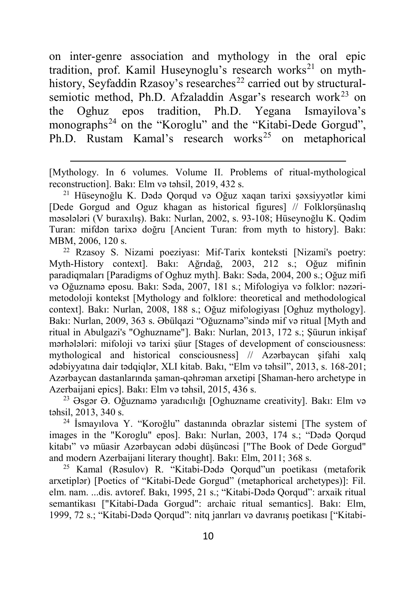on inter-genre association and mythology in the oral epic tradition, prof. Kamil Huseynoglu's research works<sup>[21](#page-9-0)</sup> on myth-history, Seyfaddin Rzasoy's researches<sup>[22](#page-9-1)</sup> carried out by structural-semiotic method, Ph.D. Afzaladdin Asgar's research work<sup>[23](#page-9-2)</sup> on the Oghuz epos tradition, Ph.D. Yegana Ismayilova's monographs<sup>[24](#page-9-3)</sup> on the "Koroglu" and the "Kitabi-Dede Gorgud", Ph.D. Rustam Kamal's research works<sup>[25](#page-9-4)</sup> on metaphorical

[Mythology. In 6 volumes. Volume II. Problems of ritual-mythological reconstruction]. Bakı: Elm və təhsil, 2019, 432 s.

-

<span id="page-9-0"></span><sup>21</sup> Hüseynoğlu K. Dədə Qorqud və Oğuz xaqan tarixi şəxsiyyətlər kimi [Dede Gorgud and Oguz khagan as historical figures] // Folklorşünaslıq məsələləri (V buraxılış). Bakı: Nurlan, 2002, s. 93-108; Hüseynoğlu K. Qədim Turan: mifdən tarixə doğru [Ancient Turan: from myth to history]. Bakı: MBM, 2006, 120 s.

<span id="page-9-1"></span><sup>22</sup> Rzasoy S. Nizami poeziyası: Mif-Tarix konteksti [Nizami's poetry: Myth-History context]. Bakı: Ağrıdağ, 2003, 212 s.; Oğuz mifinin paradiqmaları [Paradigms of Oghuz myth]. Bakı: Səda, 2004, 200 s.; Oğuz mifi və Oğuznamə eposu. Bakı: Səda, 2007, 181 s.; Mifologiya və folklor: nəzərimetodoloji kontekst [Mythology and folklore: theoretical and methodological context]. Bakı: Nurlan, 2008, 188 s.; Oğuz mifologiyası [Oghuz mythology]. Bakı: Nurlan, 2009, 363 s. Əbülqazi "Oğuznamə"sində mif və ritual [Myth and ritual in Abulgazi's "Oghuzname"]. Bakı: Nurlan, 2013, 172 s.; Şüurun inkişaf mərhələləri: mifoloji və tarixi şüur [Stages of development of consciousness: mythological and historical consciousness] // Azərbaycan şifahi xalq ədəbiyyatına dair tədqiqlər, XLI kitab. Bakı, "Elm və təhsil", 2013, s. 168-201; Azərbaycan dastanlarında şaman-qəhrəman arxetipi [Shaman-hero archetype in Azerbaijani epics]. Bakı: Elm və təhsil, 2015, 436 s.

<span id="page-9-2"></span> $^{23}$  Əsgər Ə. Oğuznamə yaradıcılığı [Oghuzname creativity]. Bakı: Elm və təhsil, 2013, 340 s.

<span id="page-9-3"></span><sup>24</sup> İsmayılova Y. "Koroğlu" dastanında obrazlar sistemi [The system of images in the "Koroglu" epos]. Bakı: Nurlan, 2003, 174 s.; "Dədə Qorqud kitabı" və müasir Azərbaycan ədəbi düşüncəsi ["The Book of Dede Gorgud" and modern Azerbaijani literary thought]. Bakı: Elm, 2011; 368 s.

<span id="page-9-4"></span><sup>25</sup> Kamal (Rəsulov) R. "Kitabi-Dədə Qorqud"un poetikası (metaforik arxetiplər) [Poetics of "Kitabi-Dede Gorgud" (metaphorical archetypes)]: Fil. elm. nam. ...dis. avtoref. Bakı, 1995, 21 s.; "Kitabi-Dədə Qorqud": arxaik ritual semantikası ["Kitabi-Dada Gorgud": archaic ritual semantics]. Bakı: Elm, 1999, 72 s.; "Kitabi-Dədə Qorqud": nitq janrları və davranış poetikası ["Kitabi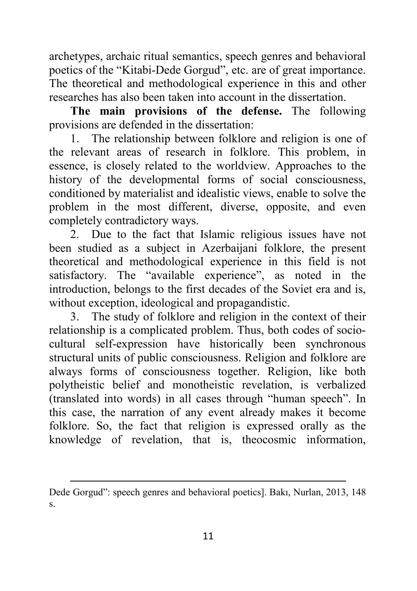archetypes, archaic ritual semantics, speech genres and behavioral poetics of the "Kitabi-Dede Gorgud", etc. are of great importance. The theoretical and methodological experience in this and other researches has also been taken into account in the dissertation.

**The main provisions of the defense.** The following provisions are defended in the dissertation:

1. The relationship between folklore and religion is one of the relevant areas of research in folklore. This problem, in essence, is closely related to the worldview. Approaches to the history of the developmental forms of social consciousness, conditioned by materialist and idealistic views, enable to solve the problem in the most different, diverse, opposite, and even completely contradictory ways.

2. Due to the fact that Islamic religious issues have not been studied as a subject in Azerbaijani folklore, the present theoretical and methodological experience in this field is not satisfactory. The "available experience", as noted in the introduction, belongs to the first decades of the Soviet era and is, without exception, ideological and propagandistic.

3. The study of folklore and religion in the context of their relationship is a complicated problem. Thus, both codes of sociocultural self-expression have historically been synchronous structural units of public consciousness. Religion and folklore are always forms of consciousness together. Religion, like both polytheistic belief and monotheistic revelation, is verbalized (translated into words) in all cases through "human speech". In this case, the narration of any event already makes it become folklore. So, the fact that religion is expressed orally as the knowledge of revelation, that is, theocosmic information,

**<sup>.</sup>** Dede Gorgud": speech genres and behavioral poetics]. Bakı, Nurlan, 2013, 148 s.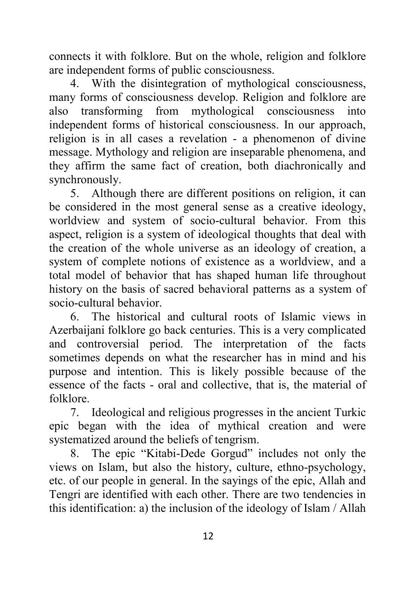connects it with folklore. But on the whole, religion and folklore are independent forms of public consciousness.

4. With the disintegration of mythological consciousness, many forms of consciousness develop. Religion and folklore are also transforming from mythological consciousness into independent forms of historical consciousness. In our approach, religion is in all cases a revelation - a phenomenon of divine message. Mythology and religion are inseparable phenomena, and they affirm the same fact of creation, both diachronically and synchronously.

5. Although there are different positions on religion, it can be considered in the most general sense as a creative ideology, worldview and system of socio-cultural behavior. From this aspect, religion is a system of ideological thoughts that deal with the creation of the whole universe as an ideology of creation, a system of complete notions of existence as a worldview, and a total model of behavior that has shaped human life throughout history on the basis of sacred behavioral patterns as a system of socio-cultural behavior.

6. The historical and cultural roots of Islamic views in Azerbaijani folklore go back centuries. This is a very complicated and controversial period. The interpretation of the facts sometimes depends on what the researcher has in mind and his purpose and intention. This is likely possible because of the essence of the facts - oral and collective, that is, the material of folklore.

7. Ideological and religious progresses in the ancient Turkic epic began with the idea of mythical creation and were systematized around the beliefs of tengrism.

8. The epic "Kitabi-Dede Gorgud" includes not only the views on Islam, but also the history, culture, ethno-psychology, etc. of our people in general. In the sayings of the epic, Allah and Tengri are identified with each other. There are two tendencies in this identification: a) the inclusion of the ideology of Islam / Allah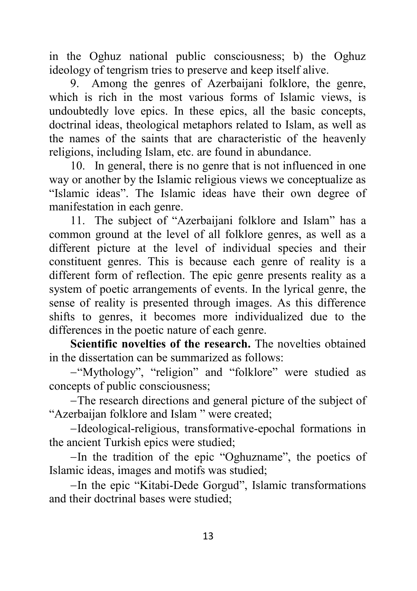in the Oghuz national public consciousness; b) the Oghuz ideology of tengrism tries to preserve and keep itself alive.

9. Among the genres of Azerbaijani folklore, the genre, which is rich in the most various forms of Islamic views, is undoubtedly love epics. In these epics, all the basic concepts, doctrinal ideas, theological metaphors related to Islam, as well as the names of the saints that are characteristic of the heavenly religions, including Islam, etc. are found in abundance.

10. In general, there is no genre that is not influenced in one way or another by the Islamic religious views we conceptualize as "Islamic ideas". The Islamic ideas have their own degree of manifestation in each genre.

11. The subject of "Azerbaijani folklore and Islam" has a common ground at the level of all folklore genres, as well as a different picture at the level of individual species and their constituent genres. This is because each genre of reality is a different form of reflection. The epic genre presents reality as a system of poetic arrangements of events. In the lyrical genre, the sense of reality is presented through images. As this difference shifts to genres, it becomes more individualized due to the differences in the poetic nature of each genre.

**Scientific novelties of the research.** The novelties obtained in the dissertation can be summarized as follows:

−"Mythology", "religion" and "folklore" were studied as concepts of public consciousness;

−The research directions and general picture of the subject of "Azerbaijan folklore and Islam " were created;

−Ideological-religious, transformative-epochal formations in the ancient Turkish epics were studied;

−In the tradition of the epic "Oghuzname", the poetics of Islamic ideas, images and motifs was studied;

−In the epic "Kitabi-Dede Gorgud", Islamic transformations and their doctrinal bases were studied;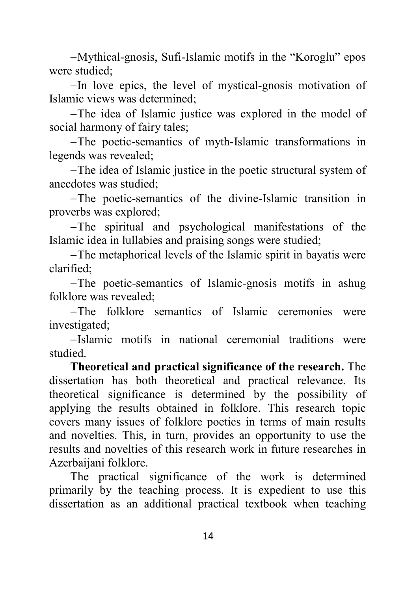−Mythical-gnosis, Sufi-Islamic motifs in the "Koroglu" epos were studied;

−In love epics, the level of mystical-gnosis motivation of Islamic views was determined;

−The idea of Islamic justice was explored in the model of social harmony of fairy tales;

−The poetic-semantics of myth-Islamic transformations in legends was revealed;

−The idea of Islamic justice in the poetic structural system of anecdotes was studied;

−The poetic-semantics of the divine-Islamic transition in proverbs was explored;

−The spiritual and psychological manifestations of the Islamic idea in lullabies and praising songs were studied;

−The metaphorical levels of the Islamic spirit in bayatis were clarified;

−The poetic-semantics of Islamic-gnosis motifs in ashug folklore was revealed;

−The folklore semantics of Islamic ceremonies were investigated;

−Islamic motifs in national ceremonial traditions were studied.

**Theoretical and practical significance of the research.** The dissertation has both theoretical and practical relevance. Its theoretical significance is determined by the possibility of applying the results obtained in folklore. This research topic covers many issues of folklore poetics in terms of main results and novelties. This, in turn, provides an opportunity to use the results and novelties of this research work in future researches in Azerbaijani folklore.

The practical significance of the work is determined primarily by the teaching process. It is expedient to use this dissertation as an additional practical textbook when teaching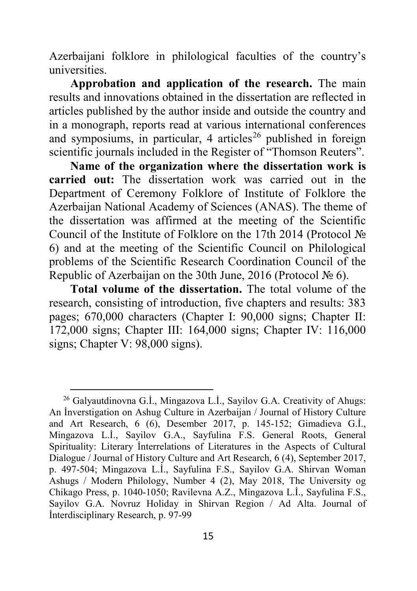Azerbaijani folklore in philological faculties of the country's universities.

**Approbation and application of the research.** The main results and innovations obtained in the dissertation are reflected in articles published by the author inside and outside the country and in a monograph, reports read at various international conferences and symposiums, in particular, 4 articles<sup>[26](#page-14-0)</sup> published in foreign scientific journals included in the Register of "Thomson Reuters".

**Name of the organization where the dissertation work is carried out:** The dissertation work was carried out in the Department of Ceremony Folklore of Institute of Folklore the Azerbaijan National Academy of Sciences (ANAS). The theme of the dissertation was affirmed at the meeting of the Scientific Council of the Institute of Folklore on the 17th 2014 (Protocol № 6) and at the meeting of the Scientific Council on Philological problems of the Scientific Research Coordination Council of the Republic of Azerbaijan on the 30th June, 2016 (Protocol № 6).

**Total volume of the dissertation.** The total volume of the research, consisting of introduction, five chapters and results: 383 pages; 670,000 characters (Chapter I: 90,000 signs; Chapter II: 172,000 signs; Chapter III: 164,000 signs; Chapter IV: 116,000 signs; Chapter V: 98,000 signs).

<span id="page-14-0"></span><sup>&</sup>lt;sup>26</sup> Galyautdinovna G.İ., Mingazova L.İ., Sayilov G.A. Creativity of Ahugs: An İnverstigation on Ashug Culture in Azerbaijan / Journal of History Culture and Art Research, 6 (6), Desember 2017, p. 145-152; Gimadieva G.İ., Mingazova L.İ., Sayilov G.A., Sayfulina F.S. General Roots, General Spirituality: Literary İnterrelations of Literatures in the Aspects of Cultural Dialogue / Journal of History Culture and Art Research, 6 (4), September 2017, p. 497-504; Mingazova L.İ., Sayfulina F.S., Sayilov G.A. Shirvan Woman Ashugs / Modern Philology, Number 4 (2), May 2018, The University og Chikago Press, p. 1040-1050; Ravilevna A.Z., Mingazova L.İ., Sayfulina F.S., Sayilov G.A. Novruz Holiday in Shirvan Region / Ad Alta. Journal of İnterdisciplinary Research, p. 97-99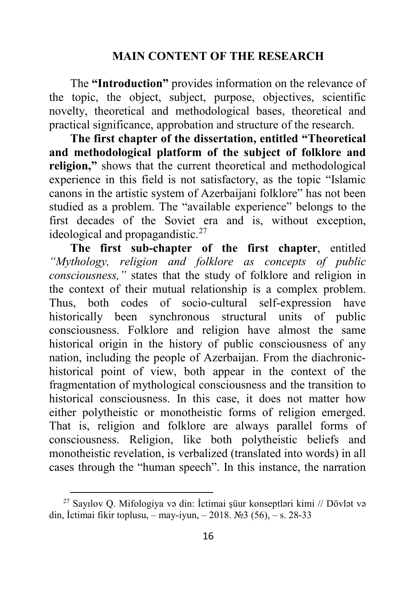#### **MAIN CONTENT OF THE RESEARCH**

The **"Introduction"** provides information on the relevance of the topic, the object, subject, purpose, objectives, scientific novelty, theoretical and methodological bases, theoretical and practical significance, approbation and structure of the research.

**The first chapter of the dissertation, entitled "Theoretical and methodological platform of the subject of folklore and religion,"** shows that the current theoretical and methodological experience in this field is not satisfactory, as the topic "Islamic canons in the artistic system of Azerbaijani folklore" has not been studied as a problem. The "available experience" belongs to the first decades of the Soviet era and is, without exception, ideological and propagandistic.<sup>[27](#page-15-0)</sup>

**The first sub-chapter of the first chapter**, entitled *"Mythology, religion and folklore as concepts of public consciousness,"* states that the study of folklore and religion in the context of their mutual relationship is a complex problem. Thus, both codes of socio-cultural self-expression have historically been synchronous structural units of public consciousness. Folklore and religion have almost the same historical origin in the history of public consciousness of any nation, including the people of Azerbaijan. From the diachronichistorical point of view, both appear in the context of the fragmentation of mythological consciousness and the transition to historical consciousness. In this case, it does not matter how either polytheistic or monotheistic forms of religion emerged. That is, religion and folklore are always parallel forms of consciousness. Religion, like both polytheistic beliefs and monotheistic revelation, is verbalized (translated into words) in all cases through the "human speech". In this instance, the narration

<span id="page-15-0"></span> $^{27}$  Sayılov Q. Mifologiya və din: İctimai şüur konseptləri kimi // Dövlət və din, İctimai fikir toplusu, – may-iyun, – 2018. №3 (56), – s. 28-33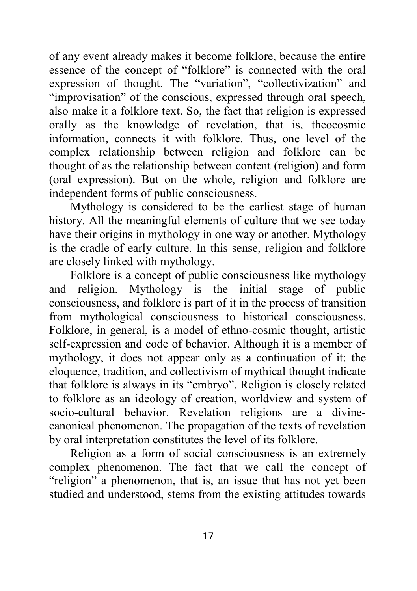of any event already makes it become folklore, because the entire essence of the concept of "folklore" is connected with the oral expression of thought. The "variation", "collectivization" and "improvisation" of the conscious, expressed through oral speech, also make it a folklore text. So, the fact that religion is expressed orally as the knowledge of revelation, that is, theocosmic information, connects it with folklore. Thus, one level of the complex relationship between religion and folklore can be thought of as the relationship between content (religion) and form (oral expression). But on the whole, religion and folklore are independent forms of public consciousness.

Mythology is considered to be the earliest stage of human history. All the meaningful elements of culture that we see today have their origins in mythology in one way or another. Mythology is the cradle of early culture. In this sense, religion and folklore are closely linked with mythology.

Folklore is a concept of public consciousness like mythology and religion. Mythology is the initial stage of public consciousness, and folklore is part of it in the process of transition from mythological consciousness to historical consciousness. Folklore, in general, is a model of ethno-cosmic thought, artistic self-expression and code of behavior. Although it is a member of mythology, it does not appear only as a continuation of it: the eloquence, tradition, and collectivism of mythical thought indicate that folklore is always in its "embryo". Religion is closely related to folklore as an ideology of creation, worldview and system of socio-cultural behavior. Revelation religions are a divinecanonical phenomenon. The propagation of the texts of revelation by oral interpretation constitutes the level of its folklore.

Religion as a form of social consciousness is an extremely complex phenomenon. The fact that we call the concept of "religion" a phenomenon, that is, an issue that has not yet been studied and understood, stems from the existing attitudes towards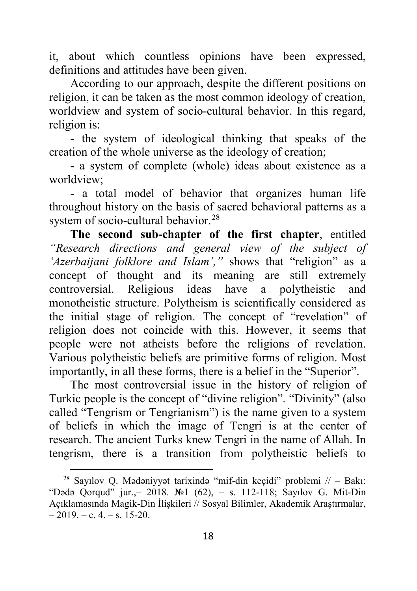it, about which countless opinions have been expressed, definitions and attitudes have been given.

According to our approach, despite the different positions on religion, it can be taken as the most common ideology of creation, worldview and system of socio-cultural behavior. In this regard, religion is:

- the system of ideological thinking that speaks of the creation of the whole universe as the ideology of creation;

- a system of complete (whole) ideas about existence as a worldview;

- a total model of behavior that organizes human life throughout history on the basis of sacred behavioral patterns as a system of socio-cultural behavior.<sup>[28](#page-17-0)</sup>

**The second sub-chapter of the first chapter**, entitled *"Research directions and general view of the subject of 'Azerbaijani folklore and Islam',"* shows that "religion" as a concept of thought and its meaning are still extremely controversial. Religious ideas have a polytheistic and monotheistic structure. Polytheism is scientifically considered as the initial stage of religion. The concept of "revelation" of religion does not coincide with this. However, it seems that people were not atheists before the religions of revelation. Various polytheistic beliefs are primitive forms of religion. Most importantly, in all these forms, there is a belief in the "Superior".

The most controversial issue in the history of religion of Turkic people is the concept of "divine religion". "Divinity" (also called "Tengrism or Tengrianism") is the name given to a system of beliefs in which the image of Tengri is at the center of research. The ancient Turks knew Tengri in the name of Allah. In tengrism, there is a transition from polytheistic beliefs to

<span id="page-17-0"></span><sup>&</sup>lt;sup>28</sup> Savılov O. Mədəniyyət tarixində "mif-din keçidi" problemi  $/ \sim$  Bakı: "Dədə Qorqud" jur.,– 2018. №1 (62), – s. 112-118; Sayılov G. Mit-Din Açıklamasında Magik-Din İlişkileri // Sosyal Bilimler, Akademik Araştırmalar,  $-2019$ . – c. 4. – s. 15-20.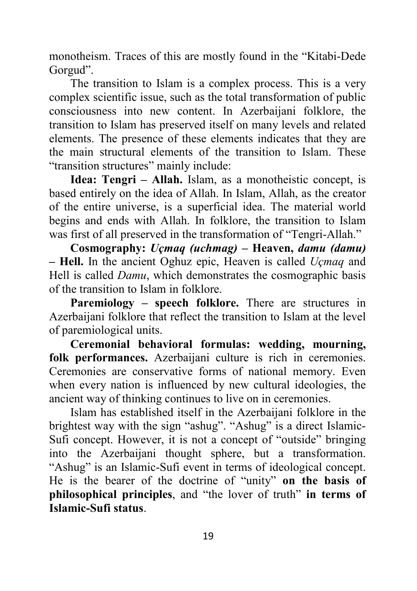monotheism. Traces of this are mostly found in the "Kitabi-Dede Gorgud".

The transition to Islam is a complex process. This is a very complex scientific issue, such as the total transformation of public consciousness into new content. In Azerbaijani folklore, the transition to Islam has preserved itself on many levels and related elements. The presence of these elements indicates that they are the main structural elements of the transition to Islam. These "transition structures" mainly include:

**Idea: Tengri – Allah.** Islam, as a monotheistic concept, is based entirely on the idea of Allah. In Islam, Allah, as the creator of the entire universe, is a superficial idea. The material world begins and ends with Allah. In folklore, the transition to Islam was first of all preserved in the transformation of "Tengri-Allah."

**Cosmography:** *Uçmaq (uchmag)* **– Heaven,** *damu (damu)* **– Hell.** In the ancient Oghuz epic, Heaven is called *Uçmaq* and Hell is called *Damu*, which demonstrates the cosmographic basis of the transition to Islam in folklore.

**Paremiology – speech folklore.** There are structures in Azerbaijani folklore that reflect the transition to Islam at the level of paremiological units.

**Ceremonial behavioral formulas: wedding, mourning, folk performances.** Azerbaijani culture is rich in ceremonies. Ceremonies are conservative forms of national memory. Even when every nation is influenced by new cultural ideologies, the ancient way of thinking continues to live on in ceremonies.

Islam has established itself in the Azerbaijani folklore in the brightest way with the sign "ashug". "Ashug" is a direct Islamic-Sufi concept. However, it is not a concept of "outside" bringing into the Azerbaijani thought sphere, but a transformation. "Ashug" is an Islamic-Sufi event in terms of ideological concept. He is the bearer of the doctrine of "unity" **on the basis of philosophical principles**, and "the lover of truth" **in terms of Islamic-Sufi status**.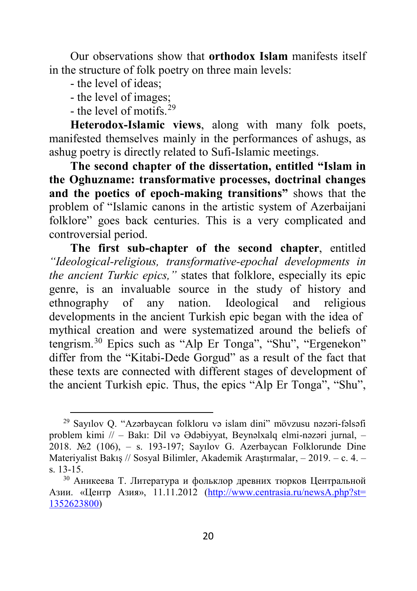Our observations show that **orthodox Islam** manifests itself in the structure of folk poetry on three main levels:

- the level of ideas;
- the level of images;
- the level of motifs  $29$

 $\ddot{\phantom{a}}$ 

**Heterodox-Islamic views**, along with many folk poets, manifested themselves mainly in the performances of ashugs, as ashug poetry is directly related to Sufi-Islamic meetings.

**The second chapter of the dissertation, entitled "Islam in the Oghuzname: transformative processes, doctrinal changes and the poetics of epoch-making transitions"** shows that the problem of "Islamic canons in the artistic system of Azerbaijani folklore" goes back centuries. This is a very complicated and controversial period.

**The first sub-chapter of the second chapter**, entitled *"Ideological-religious, transformative-epochal developments in the ancient Turkic epics,"* states that folklore, especially its epic genre, is an invaluable source in the study of history and ethnography of any nation. Ideological and religious developments in the ancient Turkish epic began with the idea of mythical creation and were systematized around the beliefs of tengrism.[30](#page-19-1) Epics such as "Alp Er Tonga", "Shu", "Ergenekon" differ from the "Kitabi-Dede Gorgud" as a result of the fact that these texts are connected with different stages of development of the ancient Turkish epic. Thus, the epics "Alp Er Tonga", "Shu",

<span id="page-19-0"></span><sup>29</sup> Sayılov Q. "Azərbaycan folkloru və islam dini" mövzusu nəzəri-fəlsəfi problem kimi // – Bakı: Dil və Ədəbiyyat, Beynəlxalq elmi-nəzəri jurnal, – 2018. №2 (106), – s. 193-197; Sayılov G. Azerbaycan Folklorunde Dine Materiyalist Bakış // Sosyal Bilimler, Akademik Araştırmalar, – 2019. – c. 4. – s. 13-15.

<span id="page-19-1"></span><sup>30</sup> Аникеева Т. Литература и фольклор древних тюрков Центральной Азии. «Центр Азия», 11.11.2012 [\(http://www.centrasia.ru/newsA.php?st=](http://www.centrasia.ru/newsA.php?st=%201352623800) [1352623800](http://www.centrasia.ru/newsA.php?st=%201352623800))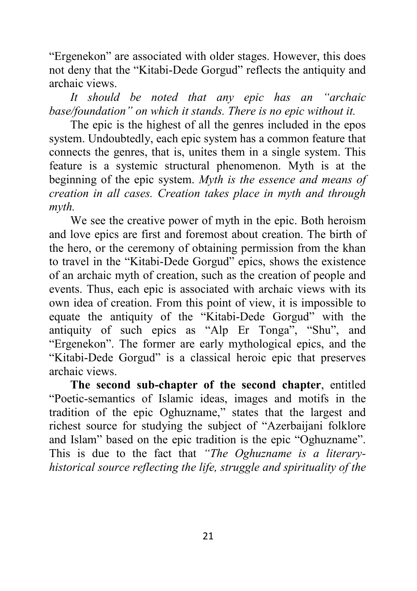"Ergenekon" are associated with older stages. However, this does not deny that the "Kitabi-Dede Gorgud" reflects the antiquity and archaic views.

*It should be noted that any epic has an "archaic base/foundation" on which it stands. There is no epic without it.*

The epic is the highest of all the genres included in the epos system. Undoubtedly, each epic system has a common feature that connects the genres, that is, unites them in a single system. This feature is a systemic structural phenomenon. Myth is at the beginning of the epic system. *Myth is the essence and means of creation in all cases. Creation takes place in myth and through myth.*

We see the creative power of myth in the epic. Both heroism and love epics are first and foremost about creation. The birth of the hero, or the ceremony of obtaining permission from the khan to travel in the "Kitabi-Dede Gorgud" epics, shows the existence of an archaic myth of creation, such as the creation of people and events. Thus, each epic is associated with archaic views with its own idea of creation. From this point of view, it is impossible to equate the antiquity of the "Kitabi-Dede Gorgud" with the antiquity of such epics as "Alp Er Tonga", "Shu", and "Ergenekon". The former are early mythological epics, and the "Kitabi-Dede Gorgud" is a classical heroic epic that preserves archaic views.

**The second sub-chapter of the second chapter**, entitled "Poetic-semantics of Islamic ideas, images and motifs in the tradition of the epic Oghuzname," states that the largest and richest source for studying the subject of "Azerbaijani folklore and Islam" based on the epic tradition is the epic "Oghuzname". This is due to the fact that *"The Oghuzname is a literaryhistorical source reflecting the life, struggle and spirituality of the*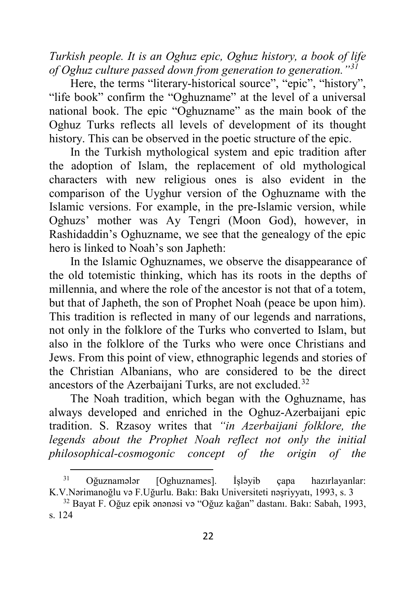*Turkish people. It is an Oghuz epic, Oghuz history, a book of life of Oghuz culture passed down from generation to generation."[31](#page-21-0)*

Here, the terms "literary-historical source", "epic", "history", "life book" confirm the "Oghuzname" at the level of a universal national book. The epic "Oghuzname" as the main book of the Oghuz Turks reflects all levels of development of its thought history. This can be observed in the poetic structure of the epic.

In the Turkish mythological system and epic tradition after the adoption of Islam, the replacement of old mythological characters with new religious ones is also evident in the comparison of the Uyghur version of the Oghuzname with the Islamic versions. For example, in the pre-Islamic version, while Oghuzs' mother was Ay Tengri (Moon God), however, in Rashidaddin's Oghuzname, we see that the genealogy of the epic hero is linked to Noah's son Japheth:

In the Islamic Oghuznames, we observe the disappearance of the old totemistic thinking, which has its roots in the depths of millennia, and where the role of the ancestor is not that of a totem, but that of Japheth, the son of Prophet Noah (peace be upon him). This tradition is reflected in many of our legends and narrations, not only in the folklore of the Turks who converted to Islam, but also in the folklore of the Turks who were once Christians and Jews. From this point of view, ethnographic legends and stories of the Christian Albanians, who are considered to be the direct ancestors of the Azerbaijani Turks, are not excluded.<sup>[32](#page-21-1)</sup>

The Noah tradition, which began with the Oghuzname, has always developed and enriched in the Oghuz-Azerbaijani epic tradition. S. Rzasoy writes that *"in Azerbaijani folklore, the legends about the Prophet Noah reflect not only the initial philosophical-cosmogonic concept of the origin of the* 

<span id="page-21-0"></span> $\overline{a}$ <sup>31</sup> Oğuznamələr [Oghuznames]. İşləyib çapa hazırlayanlar: K.V.Nərimanoğlu və F.Uğurlu. Bakı: Bakı Universiteti nəşriyyatı, 1993, s. 3

<span id="page-21-1"></span><sup>32</sup> Bayat F. Oğuz epik ənənəsi və "Oğuz kağan" dastanı. Bakı: Sabah, 1993, s. 124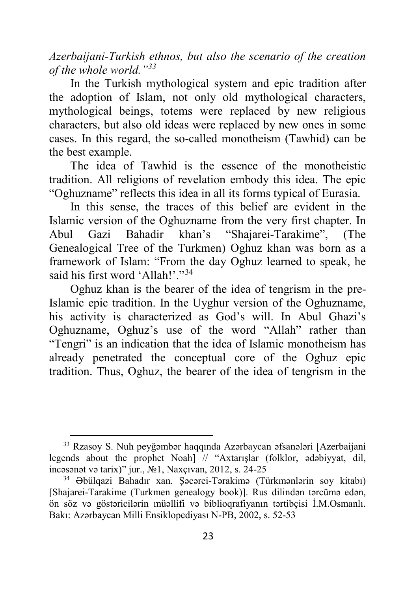*Azerbaijani-Turkish ethnos, but also the scenario of the creation of the whole world."[33](#page-22-0)*

In the Turkish mythological system and epic tradition after the adoption of Islam, not only old mythological characters, mythological beings, totems were replaced by new religious characters, but also old ideas were replaced by new ones in some cases. In this regard, the so-called monotheism (Tawhid) can be the best example.

The idea of Tawhid is the essence of the monotheistic tradition. All religions of revelation embody this idea. The epic "Oghuzname" reflects this idea in all its forms typical of Eurasia.

In this sense, the traces of this belief are evident in the Islamic version of the Oghuzname from the very first chapter. In Abul Gazi Bahadir khan's "Shajarei-Tarakime", (The Genealogical Tree of the Turkmen) Oghuz khan was born as a framework of Islam: "From the day Oghuz learned to speak, he said his first word 'Allah!'."<sup>[34](#page-22-1)</sup>

Oghuz khan is the bearer of the idea of tengrism in the pre-Islamic epic tradition. In the Uyghur version of the Oghuzname, his activity is characterized as God's will. In Abul Ghazi's Oghuzname, Oghuz's use of the word "Allah" rather than "Tengri" is an indication that the idea of Islamic monotheism has already penetrated the conceptual core of the Oghuz epic tradition. Thus, Oghuz, the bearer of the idea of tengrism in the

<span id="page-22-0"></span><sup>33</sup> Rzasoy S. Nuh peyğəmbər haqqında Azərbaycan əfsanələri [Azerbaijani legends about the prophet Noah] // "Axtarışlar (folklor, ədəbiyyat, dil, incəsənət və tarix)" jur., №1, Naxçıvan, 2012, s. 24-25

<span id="page-22-1"></span><sup>34</sup> Əbülqazi Bahadır xan. Şəcərei-Tərakimə (Türkmənlərin soy kitabı) [Shajarei-Tarakime (Turkmen genealogy book)]. Rus dilindən tərcümə edən, ön söz və göstəricilərin müəllifi və biblioqrafiyanın tərtibçisi İ.M.Osmanlı. Bakı: Azərbaycan Milli Ensiklopediyası N-PB, 2002, s. 52-53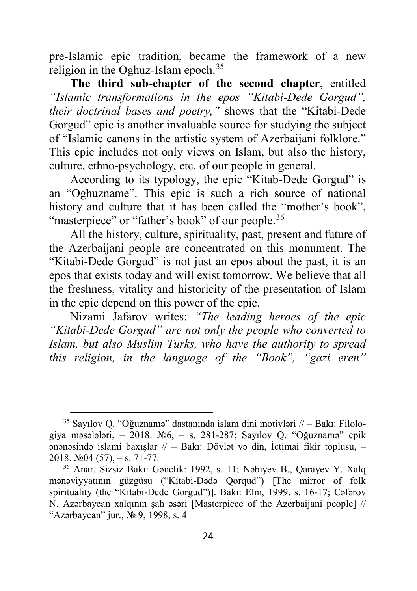pre-Islamic epic tradition, became the framework of a new religion in the Oghuz-Islam epoch.<sup>[35](#page-23-0)</sup>

**The third sub-chapter of the second chapter**, entitled *"Islamic transformations in the epos "Kitabi-Dede Gorgud", their doctrinal bases and poetry,"* shows that the "Kitabi-Dede Gorgud" epic is another invaluable source for studying the subject of "Islamic canons in the artistic system of Azerbaijani folklore." This epic includes not only views on Islam, but also the history, culture, ethno-psychology, etc. of our people in general.

According to its typology, the epic "Kitab-Dede Gorgud" is an "Oghuzname". This epic is such a rich source of national history and culture that it has been called the "mother's book", "masterpiece" or "father's book" of our people.<sup>[36](#page-23-1)</sup>

All the history, culture, spirituality, past, present and future of the Azerbaijani people are concentrated on this monument. The "Kitabi-Dede Gorgud" is not just an epos about the past, it is an epos that exists today and will exist tomorrow. We believe that all the freshness, vitality and historicity of the presentation of Islam in the epic depend on this power of the epic.

Nizami Jafarov writes: *"The leading heroes of the epic "Kitabi-Dede Gorgud" are not only the people who converted to Islam, but also Muslim Turks, who have the authority to spread this religion, in the language of the "Book", "gazi eren"* 

 $\ddot{\phantom{a}}$ 

<span id="page-23-0"></span><sup>35</sup> Sayılov Q. "Oğuznamə" dastanında islam dini motivləri // – Bakı: Filologiya məsələləri, – 2018. №6, – s. 281-287; Sayılov Q. "Oğuznamə" epik ənənəsində islami baxışlar // – Bakı: Dövlət və din, İctimai fikir toplusu, – 2018.  $\mathcal{N}$   $\mathcal{Q}$  4 (57), – s. 71-77.

<span id="page-23-1"></span><sup>36</sup> Anar. Sizsiz Bakı: Gənclik: 1992, s. 11; Nəbiyev B., Qarayev Y. Xalq mənəviyyatının güzgüsü ("Kitabi-Dədə Qorqud") [The mirror of folk spirituality (the "Kitabi-Dede Gorgud")]. Bakı: Elm, 1999, s. 16-17; Cəfərov N. Azərbaycan xalqının şah əsəri [Masterpiece of the Azerbaijani people] // "Azərbaycan" jur., № 9, 1998, s. 4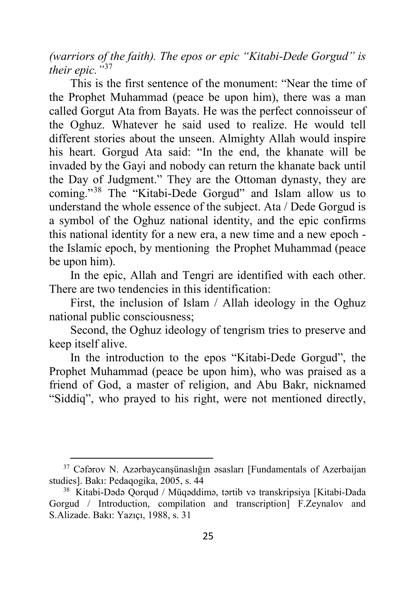*(warriors of the faith). The epos or epic "Kitabi-Dede Gorgud" is their epic."*[37](#page-24-0)

This is the first sentence of the monument: "Near the time of the Prophet Muhammad (peace be upon him), there was a man called Gorgut Ata from Bayats. He was the perfect connoisseur of the Oghuz. Whatever he said used to realize. He would tell different stories about the unseen. Almighty Allah would inspire his heart. Gorgud Ata said: "In the end, the khanate will be invaded by the Gayi and nobody can return the khanate back until the Day of Judgment." They are the Ottoman dynasty, they are coming."[38](#page-24-1) The "Kitabi-Dede Gorgud" and Islam allow us to understand the whole essence of the subject. Ata / Dede Gorgud is a symbol of the Oghuz national identity, and the epic confirms this national identity for a new era, a new time and a new epoch the Islamic epoch, by mentioning the Prophet Muhammad (peace be upon him).

In the epic, Allah and Tengri are identified with each other. There are two tendencies in this identification:

First, the inclusion of Islam / Allah ideology in the Oghuz national public consciousness;

Second, the Oghuz ideology of tengrism tries to preserve and keep itself alive.

In the introduction to the epos "Kitabi-Dede Gorgud", the Prophet Muhammad (peace be upon him), who was praised as a friend of God, a master of religion, and Abu Bakr, nicknamed "Siddiq", who prayed to his right, were not mentioned directly,

<span id="page-24-0"></span><sup>&</sup>lt;sup>37</sup> Cəfərov N. Azərbaycanşünaslığın əsasları [Fundamentals of Azerbaijan studies]. Bakı: Pedaqogika, 2005, s. 44

<span id="page-24-1"></span><sup>38</sup> Kitabi-Dədə Qorqud / Müqəddimə, tərtib və transkripsiya [Kitabi-Dada Gorgud / Introduction, compilation and transcription] F.Zeynalov and S.Alizade. Bakı: Yazıçı, 1988, s. 31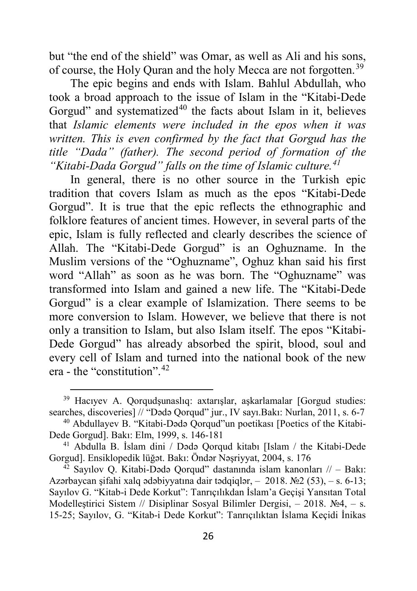but "the end of the shield" was Omar, as well as Ali and his sons, of course, the Holy Quran and the holy Mecca are not forgotten.[39](#page-25-0)

The epic begins and ends with Islam. Bahlul Abdullah, who took a broad approach to the issue of Islam in the "Kitabi-Dede Gorgud" and systematized<sup>[40](#page-25-1)</sup> the facts about Islam in it, believes that *Islamic elements were included in the epos when it was written. This is even confirmed by the fact that Gorgud has the title "Dada" (father). The second period of formation of the "Kitabi-Dada Gorgud" falls on the time of Islamic culture.[41](#page-25-2)*

In general, there is no other source in the Turkish epic tradition that covers Islam as much as the epos "Kitabi-Dede Gorgud". It is true that the epic reflects the ethnographic and folklore features of ancient times. However, in several parts of the epic, Islam is fully reflected and clearly describes the science of Allah. The "Kitabi-Dede Gorgud" is an Oghuzname. In the Muslim versions of the "Oghuzname", Oghuz khan said his first word "Allah" as soon as he was born. The "Oghuzname" was transformed into Islam and gained a new life. The "Kitabi-Dede Gorgud" is a clear example of Islamization. There seems to be more conversion to Islam. However, we believe that there is not only a transition to Islam, but also Islam itself. The epos "Kitabi-Dede Gorgud" has already absorbed the spirit, blood, soul and every cell of Islam and turned into the national book of the new era - the "constitution".[42](#page-25-3)

<span id="page-25-0"></span><sup>39</sup> Hacıyev A. Qorqudşunaslıq: axtarışlar, aşkarlamalar [Gorgud studies: searches, discoveries] // "Dədə Qorqud" jur., IV sayı.Bakı: Nurlan, 2011, s. 6-7

<span id="page-25-1"></span><sup>40</sup> Abdullayev B. "Kitabi-Dədə Qorqud"un poetikası [Poetics of the Kitabi-Dede Gorgud]. Bakı: Elm, 1999, s. 146-181

<span id="page-25-2"></span><sup>41</sup> Abdulla B. İslam dini / Dədə Qorqud kitabı [Islam / the Kitabi-Dede Gorgud]. Ensiklopedik lüğət. Bakı: Öndər Nəşriyyat, 2004, s. 176

<span id="page-25-3"></span> $42$  Sayılov Q. Kitabi-Dədə Qorqud" dastanında islam kanonları // – Bakı: Azərbaycan sifahi xalq ədəbiyyatına dair tədqiqlər, – 2018. №2 (53), – s. 6-13; Sayılov G. "Kitab-i Dede Korkut": Tanrıçılıkdan İslam'a Geçişi Yansıtan Total Modelleştirici Sistem // Disiplinar Sosyal Bilimler Dergisi, – 2018. №4, – s. 15-25; Sayılov, G. "Kitab-i Dede Korkut": Tanrıçılıktan İslama Keçidi İnikas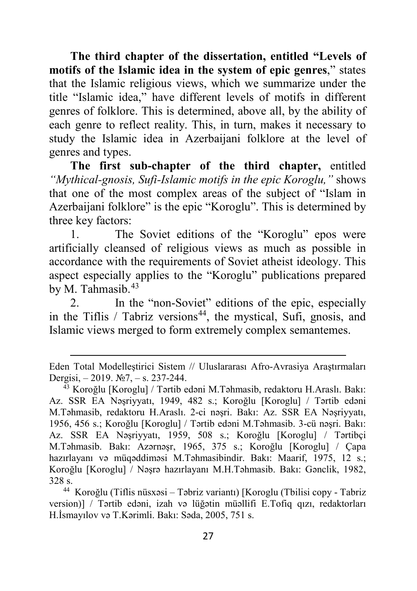**The third chapter of the dissertation, entitled "Levels of motifs of the Islamic idea in the system of epic genres**," states that the Islamic religious views, which we summarize under the title "Islamic idea," have different levels of motifs in different genres of folklore. This is determined, above all, by the ability of each genre to reflect reality. This, in turn, makes it necessary to study the Islamic idea in Azerbaijani folklore at the level of genres and types.

**The first sub-chapter of the third chapter,** entitled *"Mythical-gnosis, Sufi-Islamic motifs in the epic Koroglu,"* shows that one of the most complex areas of the subject of "Islam in Azerbaijani folklore" is the epic "Koroglu". This is determined by three key factors:

1. The Soviet editions of the "Koroglu" epos were artificially cleansed of religious views as much as possible in accordance with the requirements of Soviet atheist ideology. This aspect especially applies to the "Koroglu" publications prepared by M. Tahmasib.<sup>[43](#page-26-0)</sup>

2. In the "non-Soviet" editions of the epic, especially in the Tiflis / Tabriz versions<sup>44</sup>, the mystical, Sufi, gnosis, and Islamic views merged to form extremely complex semantemes.

**.** 

<span id="page-26-1"></span><sup>44</sup> Koroğlu (Tiflis nüsxəsi – Təbriz variantı) [Koroglu (Tbilisi copy - Tabriz version)] / Tərtib edəni, izah və lüğətin müəllifi E.Tofiq qızı, redaktorları H.İsmayılov və T.Kərimli. Bakı: Səda, 2005, 751 s.

Eden Total Modelleştirici Sistem // Uluslararası Afro-Avrasiya Araştırmaları Dergisi, – 2019. №7, – s. 237-244. 43 Koroğlu [Koroglu] / Tərtib edəni M.Təhmasib, redaktoru H.Araslı. Bakı:

<span id="page-26-0"></span>Az. SSR EA Nəşriyyatı, 1949, 482 s.; Koroğlu [Koroglu] / Tərtib edəni M.Təhmasib, redaktoru H.Araslı. 2-ci nəşri. Bakı: Az. SSR EA Nəşriyyatı, 1956, 456 s.; Koroğlu [Koroglu] / Tərtib edəni M.Təhmasib. 3-cü nəşri. Bakı: Az. SSR EA Nəşriyyatı, 1959, 508 s.; Koroğlu [Koroglu] / Tərtibçi M.Təhmasib. Bakı: Azərnəşr, 1965, 375 s.; Koroğlu [Koroglu] / Çapa hazırlayanı və müqəddiməsi M.Təhmasibindir. Bakı: Maarif, 1975, 12 s.; Koroğlu [Koroglu] / Nəşrə hazırlayanı M.H.Təhmasib. Bakı: Gənclik, 1982, 328 s.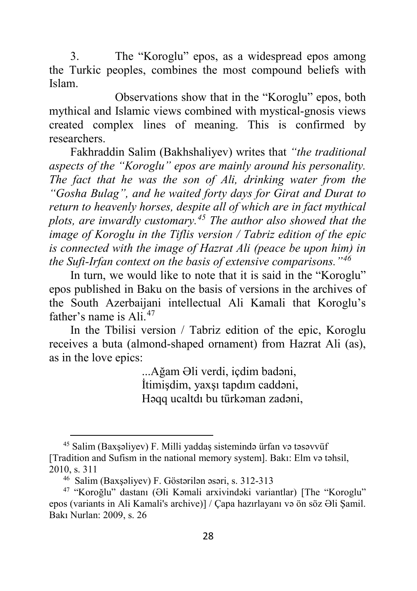3. The "Koroglu" epos, as a widespread epos among the Turkic peoples, combines the most compound beliefs with Islam.

Observations show that in the "Koroglu" epos, both mythical and Islamic views combined with mystical-gnosis views created complex lines of meaning. This is confirmed by researchers.

Fakhraddin Salim (Bakhshaliyev) writes that *"the traditional aspects of the "Koroglu" epos are mainly around his personality. The fact that he was the son of Ali, drinking water from the "Gosha Bulag", and he waited forty days for Girat and Durat to return to heavenly horses, despite all of which are in fact mythical plots, are inwardly customary.[45](#page-27-0) The author also showed that the image of Koroglu in the Tiflis version / Tabriz edition of the epic is connected with the image of Hazrat Ali (peace be upon him) in the Sufi-Irfan context on the basis of extensive comparisons."[46](#page-27-1)*

In turn, we would like to note that it is said in the "Koroglu" epos published in Baku on the basis of versions in the archives of the South Azerbaijani intellectual Ali Kamali that Koroglu's father's name is Ali<sup>[47](#page-27-2)</sup>

In the Tbilisi version / Tabriz edition of the epic, Koroglu receives a buta (almond-shaped ornament) from Hazrat Ali (as), as in the love epics:

> ...Ağam Əli verdi, içdim badəni, İtimişdim, yaxşı tapdım caddəni, Həqq ucaltdı bu türkəman zadəni,

<span id="page-27-0"></span><sup>45</sup> Salim (Baxşəliyev) F. Milli yaddaş sistemində ürfan və təsəvvüf [Tradition and Sufism in the national memory system]. Bakı: Elm və təhsil, 2010, s. 311

<sup>46</sup> Salim (Baxşəliyev) F. Göstərilən əsəri, s. 312-313

<span id="page-27-2"></span><span id="page-27-1"></span><sup>47</sup> "Koroğlu" dastanı (Əli Kəmali arxivindəki variantlar) [The "Koroglu" epos (variants in Ali Kamali's archive)] / Çapa hazırlayanı və ön söz Əli Şamil. Bakı Nurlan: 2009, s. 26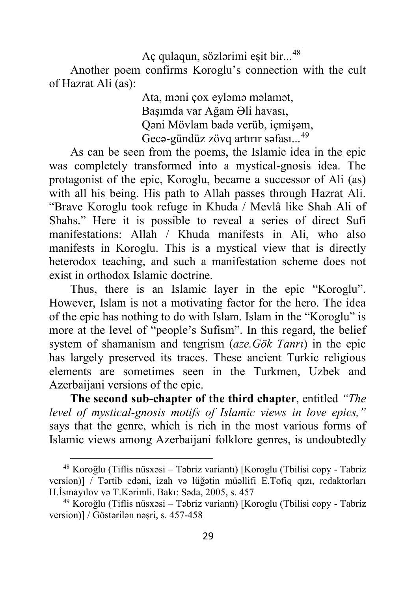Aç qulaqun, sözlərimi eşit bir...[48](#page-28-0) Another poem confirms Koroglu's connection with the cult of Hazrat Ali (as):

> Ata, məni çox eyləmə məlamət, Başımda var Ağam Əli havası, Qəni Mövlam badə verüb, içmişəm, Gecə-gündüz zövq artırır səfası...<sup>[49](#page-28-1)</sup>

As can be seen from the poems, the Islamic idea in the epic was completely transformed into a mystical-gnosis idea. The protagonist of the epic, Koroglu, became a successor of Ali (as) with all his being. His path to Allah passes through Hazrat Ali. "Brave Koroglu took refuge in Khuda / Mevlâ like Shah Ali of Shahs." Here it is possible to reveal a series of direct Sufi manifestations: Allah / Khuda manifests in Ali, who also manifests in Koroglu. This is a mystical view that is directly heterodox teaching, and such a manifestation scheme does not exist in orthodox Islamic doctrine.

Thus, there is an Islamic layer in the epic "Koroglu". However, Islam is not a motivating factor for the hero. The idea of the epic has nothing to do with Islam. Islam in the "Koroglu" is more at the level of "people's Sufism". In this regard, the belief system of shamanism and tengrism (*aze.Gök Tanrı*) in the epic has largely preserved its traces. These ancient Turkic religious elements are sometimes seen in the Turkmen, Uzbek and Azerbaijani versions of the epic.

**The second sub-chapter of the third chapter**, entitled *"The level of mystical-gnosis motifs of Islamic views in love epics,"* says that the genre, which is rich in the most various forms of Islamic views among Azerbaijani folklore genres, is undoubtedly

<span id="page-28-0"></span><sup>48</sup> Koroğlu (Tiflis nüsxəsi – Təbriz variantı) [Koroglu (Tbilisi copy - Tabriz version)] / Tərtib edəni, izah və lüğətin müəllifi E.Tofiq qızı, redaktorları H.İsmayılov və T.Kərimli. Bakı: Səda, 2005, s. 457

<span id="page-28-1"></span><sup>49</sup> Koroğlu (Tiflis nüsxəsi – Təbriz variantı) [Koroglu (Tbilisi copy - Tabriz version)] / Göstərilən nəşri, s. 457-458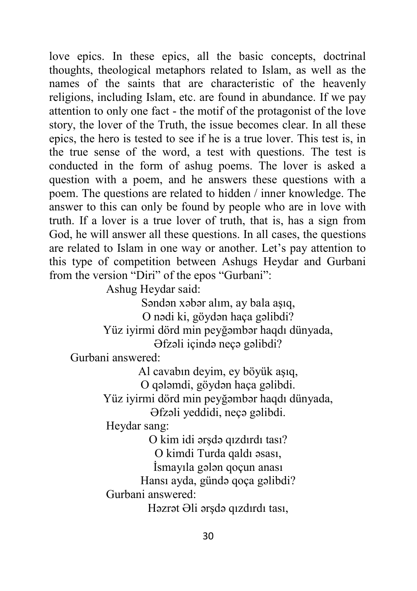love epics. In these epics, all the basic concepts, doctrinal thoughts, theological metaphors related to Islam, as well as the names of the saints that are characteristic of the heavenly religions, including Islam, etc. are found in abundance. If we pay attention to only one fact - the motif of the protagonist of the love story, the lover of the Truth, the issue becomes clear. In all these epics, the hero is tested to see if he is a true lover. This test is, in the true sense of the word, a test with questions. The test is conducted in the form of ashug poems. The lover is asked a question with a poem, and he answers these questions with a poem. The questions are related to hidden / inner knowledge. The answer to this can only be found by people who are in love with truth. If a lover is a true lover of truth, that is, has a sign from God, he will answer all these questions. In all cases, the questions are related to Islam in one way or another. Let's pay attention to this type of competition between Ashugs Heydar and Gurbani from the version "Diri" of the epos "Gurbani":

Ashug Heydar said:

Səndən xəbər alım, ay bala aşıq,

O nədi ki, göydən haça gəlibdi?

Yüz iyirmi dörd min peyğəmbər haqdı dünyada, Əfzəli içində neçə gəlibdi?

Gurbani answered:

Al cavabın deyim, ey böyük aşıq,

O qələmdi, göydən haça gəlibdi.

Yüz iyirmi dörd min peyğəmbər haqdı dünyada,

Əfzəli yeddidi, neçə gəlibdi.

Heydar sang:

O kim idi ərşdə qızdırdı tası?

O kimdi Turda qaldı əsası,

İsmayıla gələn qoçun anası

Hansı ayda, gündə qoça gəlibdi?

Gurbani answered:

Həzrət Əli ərşdə qızdırdı tası,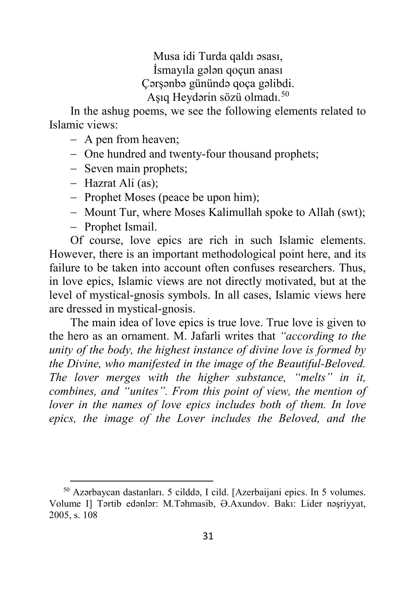Musa idi Turda qaldı əsası, İsmayıla gələn qoçun anası Çərşənbə günündə qoça gəlibdi. Aşıq Heydərin sözü olmadı.[50](#page-30-0)

In the ashug poems, we see the following elements related to Islamic views:

- − A pen from heaven;
- − One hundred and twenty-four thousand prophets;
- − Seven main prophets;
- − Hazrat Ali (as);
- − Prophet Moses (peace be upon him);
- − Mount Tur, where Moses Kalimullah spoke to Allah (swt);
- − Prophet Ismail.

 $\overline{a}$ 

Of course, love epics are rich in such Islamic elements. However, there is an important methodological point here, and its failure to be taken into account often confuses researchers. Thus, in love epics, Islamic views are not directly motivated, but at the level of mystical-gnosis symbols. In all cases, Islamic views here are dressed in mystical-gnosis.

The main idea of love epics is true love. True love is given to the hero as an ornament. M. Jafarli writes that *"according to the unity of the body, the highest instance of divine love is formed by the Divine, who manifested in the image of the Beautiful-Beloved. The lover merges with the higher substance, "melts" in it, combines, and "unites". From this point of view, the mention of lover in the names of love epics includes both of them. In love epics, the image of the Lover includes the Beloved, and the*

<span id="page-30-0"></span><sup>50</sup> Azərbaycan dastanları. 5 cilddə, I cild. [Azerbaijani epics. In 5 volumes. Volume I] Tərtib edənlər: M.Təhmasib, Ə.Axundov. Bakı: Lider nəşriyyat, 2005, s. 108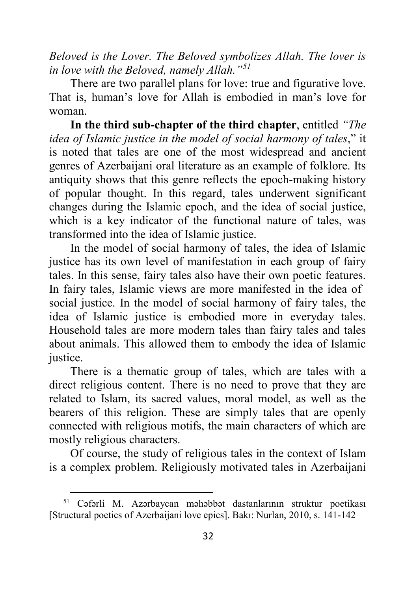*Beloved is the Lover. The Beloved symbolizes Allah. The lover is in love with the Beloved, namely Allah."[51](#page-31-0)*

There are two parallel plans for love: true and figurative love. That is, human's love for Allah is embodied in man's love for woman.

**In the third sub-chapter of the third chapter**, entitled *"The idea of Islamic justice in the model of social harmony of tales*," it is noted that tales are one of the most widespread and ancient genres of Azerbaijani oral literature as an example of folklore. Its antiquity shows that this genre reflects the epoch-making history of popular thought. In this regard, tales underwent significant changes during the Islamic epoch, and the idea of social justice, which is a key indicator of the functional nature of tales, was transformed into the idea of Islamic justice.

In the model of social harmony of tales, the idea of Islamic justice has its own level of manifestation in each group of fairy tales. In this sense, fairy tales also have their own poetic features. In fairy tales, Islamic views are more manifested in the idea of social justice. In the model of social harmony of fairy tales, the idea of Islamic justice is embodied more in everyday tales. Household tales are more modern tales than fairy tales and tales about animals. This allowed them to embody the idea of Islamic justice.

There is a thematic group of tales, which are tales with a direct religious content. There is no need to prove that they are related to Islam, its sacred values, moral model, as well as the bearers of this religion. These are simply tales that are openly connected with religious motifs, the main characters of which are mostly religious characters.

Of course, the study of religious tales in the context of Islam is a complex problem. Religiously motivated tales in Azerbaijani

<span id="page-31-0"></span><sup>51</sup> Cəfərli M. Azərbaycan məhəbbət dastanlarının struktur poetikası [Structural poetics of Azerbaijani love epics]. Bakı: Nurlan, 2010, s. 141-142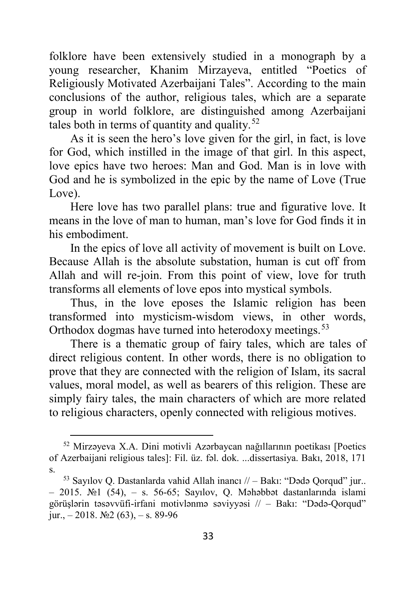folklore have been extensively studied in a monograph by a young researcher, Khanim Mirzayeva, entitled "Poetics of Religiously Motivated Azerbaijani Tales". According to the main conclusions of the author, religious tales, which are a separate group in world folklore, are distinguished among Azerbaijani tales both in terms of quantity and quality.<sup>[52](#page-32-0)</sup>

As it is seen the hero's love given for the girl, in fact, is love for God, which instilled in the image of that girl. In this aspect, love epics have two heroes: Man and God. Man is in love with God and he is symbolized in the epic by the name of Love (True Love).

Here love has two parallel plans: true and figurative love. It means in the love of man to human, man's love for God finds it in his embodiment.

In the epics of love all activity of movement is built on Love. Because Allah is the absolute substation, human is cut off from Allah and will re-join. From this point of view, love for truth transforms all elements of love epos into mystical symbols.

Thus, in the love eposes the Islamic religion has been transformed into mysticism-wisdom views, in other words, Orthodox dogmas have turned into heterodoxy meetings.<sup>[53](#page-32-1)</sup>

There is a thematic group of fairy tales, which are tales of direct religious content. In other words, there is no obligation to prove that they are connected with the religion of Islam, its sacral values, moral model, as well as bearers of this religion. These are simply fairy tales, the main characters of which are more related to religious characters, openly connected with religious motives.

<span id="page-32-0"></span><sup>52</sup> Mirzəyeva X.A. Dini motivli Azərbaycan nağıllarının poetikası [Poetics of Azerbaijani religious tales]: Fil. üz. fəl. dok. ...dissertasiya. Bakı, 2018, 171 s.

<span id="page-32-1"></span><sup>53</sup> Sayılov Q. Dastanlarda vahid Allah inancı // – Bakı: "Dədə Qorqud" jur.. – 2015. №1 (54), – s. 56-65; Sayılov, Q. Məhəbbət dastanlarında islami görüşlərin təsəvvüfi-irfani motivlənmə səviyyəsi // – Bakı: "Dədə-Qorqud" jur.,  $-2018$ .  $\mathbb{N}2(63)$ ,  $-$  s. 89-96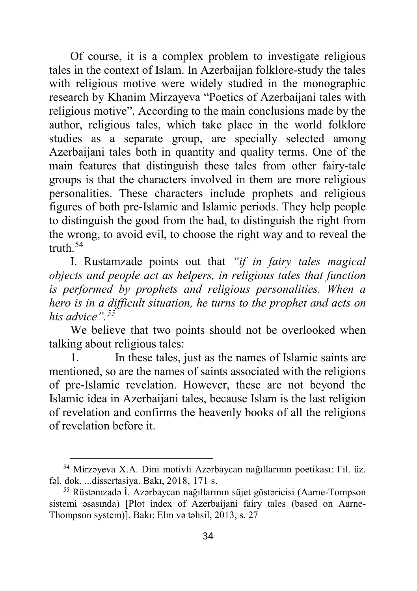Of course, it is a complex problem to investigate religious tales in the context of Islam. In Azerbaijan folklore-study the tales with religious motive were widely studied in the monographic research by Khanim Mirzayeva "Poetics of Azerbaijani tales with religious motive". According to the main conclusions made by the author, religious tales, which take place in the world folklore studies as a separate group, are specially selected among Azerbaijani tales both in quantity and quality terms. One of the main features that distinguish these tales from other fairy-tale groups is that the characters involved in them are more religious personalities. These characters include prophets and religious figures of both pre-Islamic and Islamic periods. They help people to distinguish the good from the bad, to distinguish the right from the wrong, to avoid evil, to choose the right way and to reveal the truth.[54](#page-33-0)

I. Rustamzade points out that *"if in fairy tales magical objects and people act as helpers, in religious tales that function is performed by prophets and religious personalities. When a hero is in a difficult situation, he turns to the prophet and acts on his advice".[55](#page-33-1)*

We believe that two points should not be overlooked when talking about religious tales:

1. In these tales, just as the names of Islamic saints are mentioned, so are the names of saints associated with the religions of pre-Islamic revelation. However, these are not beyond the Islamic idea in Azerbaijani tales, because Islam is the last religion of revelation and confirms the heavenly books of all the religions of revelation before it.

<span id="page-33-0"></span><sup>54</sup> Mirzəyeva X.A. Dini motivli Azərbaycan nağıllarının poetikası: Fil. üz. fəl. dok. ...dissertasiya. Bakı, 2018, 171 s.

<span id="page-33-1"></span><sup>55</sup> Rüstəmzadə İ. Azərbaycan nağıllarının süjet göstəricisi (Aarne-Tompson sistemi əsasında) [Plot index of Azerbaijani fairy tales (based on Aarne-Thompson system)]. Bakı: Elm və təhsil, 2013, s. 27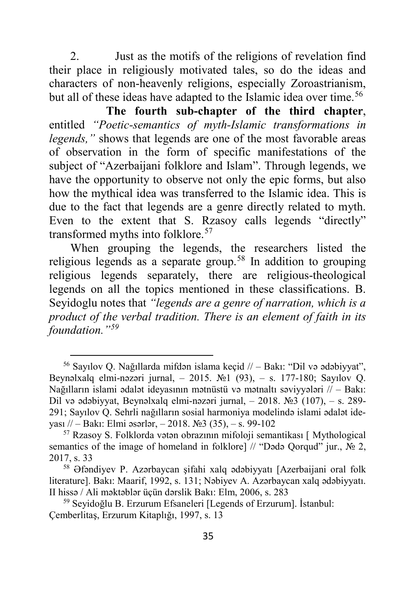2. Just as the motifs of the religions of revelation find their place in religiously motivated tales, so do the ideas and characters of non-heavenly religions, especially Zoroastrianism, but all of these ideas have adapted to the Islamic idea over time.<sup>[56](#page-34-0)</sup>

**The fourth sub-chapter of the third chapter**, entitled *"Poetic-semantics of myth-Islamic transformations in legends,"* shows that legends are one of the most favorable areas of observation in the form of specific manifestations of the subject of "Azerbaijani folklore and Islam". Through legends, we have the opportunity to observe not only the epic forms, but also how the mythical idea was transferred to the Islamic idea. This is due to the fact that legends are a genre directly related to myth. Even to the extent that S. Rzasoy calls legends "directly" transformed myths into folklore.<sup>[57](#page-34-1)</sup>

When grouping the legends, the researchers listed the religious legends as a separate group.[58](#page-34-2) In addition to grouping religious legends separately, there are religious-theological legends on all the topics mentioned in these classifications. B. Seyidoglu notes that *"legends are a genre of narration, which is a product of the verbal tradition. There is an element of faith in its foundation."[59](#page-34-3)*

<span id="page-34-0"></span><sup>56</sup> Sayılov Q. Nağıllarda mifdən islama keçid // – Bakı: "Dil və ədəbiyyat", Beynəlxalq elmi-nəzəri jurnal, – 2015. №1 (93), – s. 177-180; Sayılov Q. Nağılların islami ədalət ideyasının mətnüstü və mətnaltı səviyyələri // – Bakı: Dil və ədəbiyyat, Beynəlxalq elmi-nəzəri jurnal, – 2018. №3 (107), – s. 289- 291; Sayılov Q. Sehrli nağılların sosial harmoniya modelində islami ədalət ideyası // – Bakı: Elmi əsərlər, – 2018. №3 (35), – s. 99-102

<span id="page-34-1"></span><sup>57</sup> Rzasoy S. Folklorda vətən obrazının mifoloji semantikası [ Mythological semantics of the image of homeland in folklore] // "Dədə Qorqud" jur., № 2, 2017, s. 33

<span id="page-34-2"></span><sup>58</sup> Əfəndiyev P. Azərbaycan şifahi xalq ədəbiyyatı [Azerbaijani oral folk literature]. Bakı: Maarif, 1992, s. 131; Nəbiyev A. Azərbaycan xalq ədəbiyyatı. II hissə / Ali məktəblər üçün dərslik Bakı: Elm, 2006, s. 283

<span id="page-34-3"></span><sup>59</sup> Seyidoğlu B. Erzurum Efsaneleri [Legends of Erzurum]. İstanbul: Çemberlitaş, Erzurum Kitaplığı, 1997, s. 13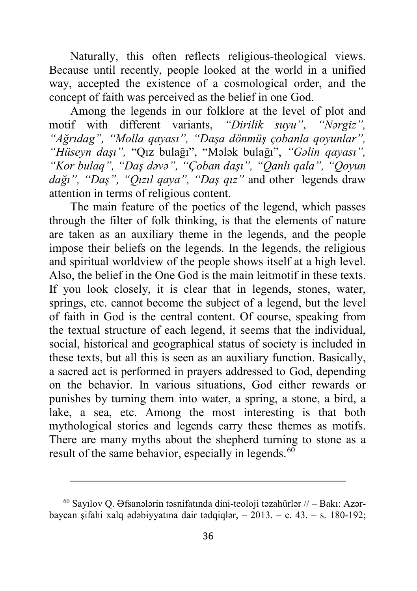Naturally, this often reflects religious-theological views. Because until recently, people looked at the world in a unified way, accepted the existence of a cosmological order, and the concept of faith was perceived as the belief in one God.

Among the legends in our folklore at the level of plot and motif with different variants, *"Dirilik suyu"*, *"Nərgiz", "Ağrıdag", "Molla qayası", "Daşa dönmüş çobanla qoyunlar", "Hüseyn daşı",* "Qız bulağı", "Mələk bulağı", *"Gəlin qayası", "Kor bulaq", "Daş dəvə", "Çoban daşı", "Qanlı qala", "Qoyun dağı", "Daş", "Qızıl qaya", "Daş qız"* and other legends draw attention in terms of religious content.

The main feature of the poetics of the legend, which passes through the filter of folk thinking, is that the elements of nature are taken as an auxiliary theme in the legends, and the people impose their beliefs on the legends. In the legends, the religious and spiritual worldview of the people shows itself at a high level. Also, the belief in the One God is the main leitmotif in these texts. If you look closely, it is clear that in legends, stones, water, springs, etc. cannot become the subject of a legend, but the level of faith in God is the central content. Of course, speaking from the textual structure of each legend, it seems that the individual, social, historical and geographical status of society is included in these texts, but all this is seen as an auxiliary function. Basically, a sacred act is performed in prayers addressed to God, depending on the behavior. In various situations, God either rewards or punishes by turning them into water, a spring, a stone, a bird, a lake, a sea, etc. Among the most interesting is that both mythological stories and legends carry these themes as motifs. There are many myths about the shepherd turning to stone as a result of the same behavior, especially in legends. $60$ 

**.** 

<span id="page-35-0"></span> $^{60}$  Sayılov Q. Əfsanələrin təsnifatında dini-teoloji təzahürlər // – Bakı: Azərbaycan şifahi xalq ədəbiyyatına dair tədqiqlər, – 2013. – c. 43. – s. 180-192;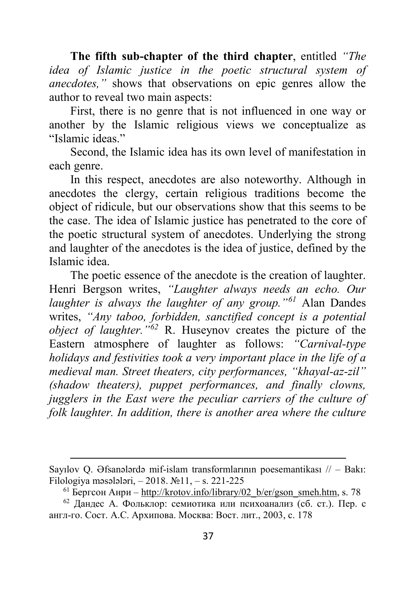**The fifth sub-chapter of the third chapter**, entitled *"The idea of Islamic justice in the poetic structural system of anecdotes,"* shows that observations on epic genres allow the author to reveal two main aspects:

First, there is no genre that is not influenced in one way or another by the Islamic religious views we conceptualize as "Islamic ideas"

Second, the Islamic idea has its own level of manifestation in each genre.

In this respect, anecdotes are also noteworthy. Although in anecdotes the clergy, certain religious traditions become the object of ridicule, but our observations show that this seems to be the case. The idea of Islamic justice has penetrated to the core of the poetic structural system of anecdotes. Underlying the strong and laughter of the anecdotes is the idea of justice, defined by the Islamic idea.

The poetic essence of the anecdote is the creation of laughter. Henri Bergson writes, *"Laughter always needs an echo. Our laughter is always the laughter of any group."[61](#page-36-0)* Alan Dandes writes, *"Any taboo, forbidden, sanctified concept is a potential object of laughter."[62](#page-36-1)* R. Huseynov creates the picture of the Eastern atmosphere of laughter as follows: *"Carnival-type holidays and festivities took a very important place in the life of a medieval man. Street theaters, city performances, "khayal-az-zil" (shadow theaters), puppet performances, and finally clowns, jugglers in the East were the peculiar carriers of the culture of folk laughter. In addition, there is another area where the culture* 

**.** 

Sayılov Q. Əfsanələrdə mif-islam transformlarının poesemantikası // – Bakı: Filologiya məsələləri, – 2018. №11, – s. 221-225

 $61$  Бергсон Анри – http://krotov.info/library/02 b/er/gson smeh.htm, s. 78

<span id="page-36-1"></span><span id="page-36-0"></span> $62$  Дандес А. Фольклор: семиотика или психоанализ (сб. ст.). Пер. с англ-го. Сост. A.C. Архипова. Москва: Вост. лит., 2003, с. 178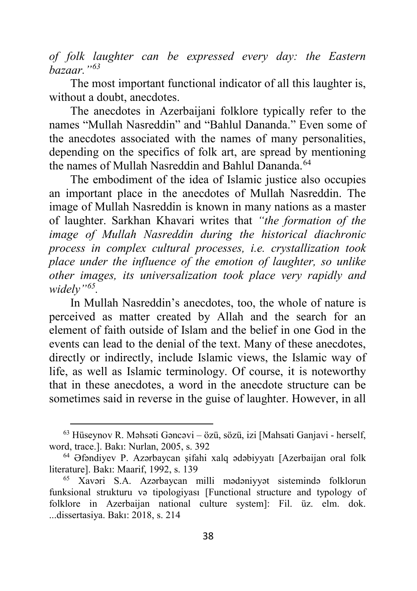*of folk laughter can be expressed every day: the Eastern bazaar."[63](#page-37-0)*

The most important functional indicator of all this laughter is, without a doubt, anecdotes.

The anecdotes in Azerbaijani folklore typically refer to the names "Mullah Nasreddin" and "Bahlul Dananda." Even some of the anecdotes associated with the names of many personalities, depending on the specifics of folk art, are spread by mentioning the names of Mullah Nasreddin and Bahlul Dananda.<sup>[64](#page-37-1)</sup>

The embodiment of the idea of Islamic justice also occupies an important place in the anecdotes of Mullah Nasreddin. The image of Mullah Nasreddin is known in many nations as a master of laughter. Sarkhan Khavari writes that *"the formation of the image of Mullah Nasreddin during the historical diachronic process in complex cultural processes, i.e. crystallization took place under the influence of the emotion of laughter, so unlike other images, its universalization took place very rapidly and widely"[65](#page-37-2).*

In Mullah Nasreddin's anecdotes, too, the whole of nature is perceived as matter created by Allah and the search for an element of faith outside of Islam and the belief in one God in the events can lead to the denial of the text. Many of these anecdotes, directly or indirectly, include Islamic views, the Islamic way of life, as well as Islamic terminology. Of course, it is noteworthy that in these anecdotes, a word in the anecdote structure can be sometimes said in reverse in the guise of laughter. However, in all

<span id="page-37-0"></span><sup>63</sup> Hüseynov R. Məhsəti Gəncəvi – özü, sözü, izi [Mahsati Ganjavi - herself, word, trace.]. Bakı: Nurlan, 2005, s. 392

<span id="page-37-1"></span><sup>64</sup> Əfəndiyev P. Azərbaycan şifahi xalq ədəbiyyatı [Azerbaijan oral folk literature]. Bakı: Maarif, 1992, s. 139

<span id="page-37-2"></span><sup>65</sup> Xavəri S.A. Azərbaycan milli mədəniyyət sistemində folklorun funksional strukturu və tipologiyası [Functional structure and typology of folklore in Azerbaijan national culture system]: Fil. üz. elm. dok. ...dissertasiya. Bakı: 2018, s. 214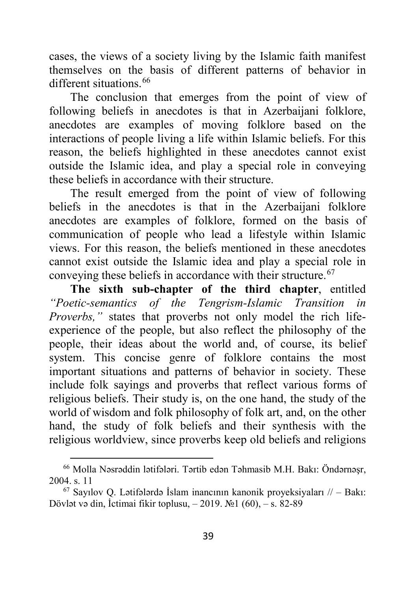cases, the views of a society living by the Islamic faith manifest themselves on the basis of different patterns of behavior in different situations [66](#page-38-0)

The conclusion that emerges from the point of view of following beliefs in anecdotes is that in Azerbaijani folklore, anecdotes are examples of moving folklore based on the interactions of people living a life within Islamic beliefs. For this reason, the beliefs highlighted in these anecdotes cannot exist outside the Islamic idea, and play a special role in conveying these beliefs in accordance with their structure.

The result emerged from the point of view of following beliefs in the anecdotes is that in the Azerbaijani folklore anecdotes are examples of folklore, formed on the basis of communication of people who lead a lifestyle within Islamic views. For this reason, the beliefs mentioned in these anecdotes cannot exist outside the Islamic idea and play a special role in conveying these beliefs in accordance with their structure.<sup>[67](#page-38-1)</sup>

**The sixth sub-chapter of the third chapter**, entitled *"Poetic-semantics of the Tengrism-Islamic Transition in Proverbs,"* states that proverbs not only model the rich lifeexperience of the people, but also reflect the philosophy of the people, their ideas about the world and, of course, its belief system. This concise genre of folklore contains the most important situations and patterns of behavior in society. These include folk sayings and proverbs that reflect various forms of religious beliefs. Their study is, on the one hand, the study of the world of wisdom and folk philosophy of folk art, and, on the other hand, the study of folk beliefs and their synthesis with the religious worldview, since proverbs keep old beliefs and religions

<span id="page-38-0"></span><sup>66</sup> Molla Nəsrəddin lətifələri. Tərtib edən Təhmasib M.H. Bakı: Öndərnəşr,

<span id="page-38-1"></span><sup>2004.</sup> s. 11  $^{67}$  Sayılov Q. Lətifələrdə İslam inancının kanonik proyeksiyaları // – Bakı: Dövlət və din, İctimai fikir toplusu, – 2019. №1 (60), – s. 82-89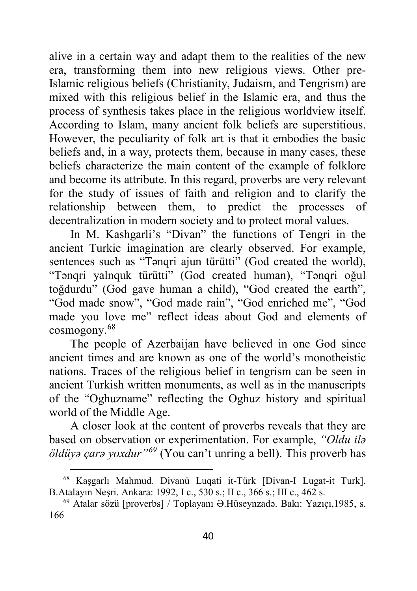alive in a certain way and adapt them to the realities of the new era, transforming them into new religious views. Other pre-Islamic religious beliefs (Christianity, Judaism, and Tengrism) are mixed with this religious belief in the Islamic era, and thus the process of synthesis takes place in the religious worldview itself. According to Islam, many ancient folk beliefs are superstitious. However, the peculiarity of folk art is that it embodies the basic beliefs and, in a way, protects them, because in many cases, these beliefs characterize the main content of the example of folklore and become its attribute. In this regard, proverbs are very relevant for the study of issues of faith and religion and to clarify the relationship between them, to predict the processes of decentralization in modern society and to protect moral values.

In M. Kashgarli's "Divan" the functions of Tengri in the ancient Turkic imagination are clearly observed. For example, sentences such as "Tənqri ajun türütti" (God created the world), "Tənqri yalnquk türütti" (God created human), "Tənqri oğul toğdurdu" (God gave human a child), "God created the earth", "God made snow", "God made rain", "God enriched me", "God made you love me" reflect ideas about God and elements of cosmogony.[68](#page-39-0)

The people of Azerbaijan have believed in one God since ancient times and are known as one of the world's monotheistic nations. Traces of the religious belief in tengrism can be seen in ancient Turkish written monuments, as well as in the manuscripts of the "Oghuzname" reflecting the Oghuz history and spiritual world of the Middle Age.

A closer look at the content of proverbs reveals that they are based on observation or experimentation. For example, *"Oldu ilə öldüyə çarə yoxdur"[69](#page-39-1)* (You can't unring a bell). This proverb has

<span id="page-39-0"></span><sup>68</sup> Kaşgarlı Mahmud. Divanü Luqati it-Türk [Divan-I Lugat-it Turk]. B.Atalayın Neşri. Ankara: 1992, I c., 530 s.; II c., 366 s.; III c., 462 s.

<span id="page-39-1"></span><sup>69</sup> Atalar sözü [proverbs] / Toplayanı Ə.Hüseynzadə. Bakı: Yazıçı,1985, s. 166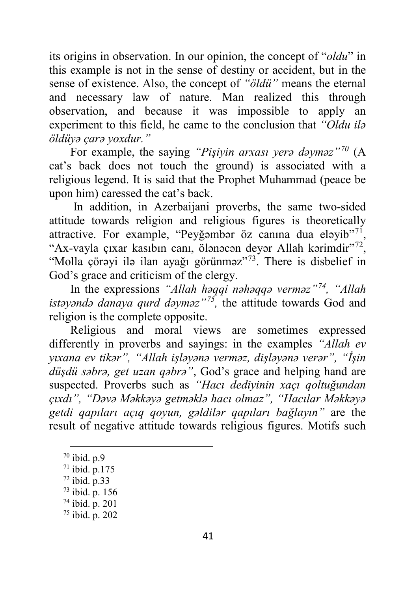its origins in observation. In our opinion, the concept of "*oldu*" in this example is not in the sense of destiny or accident, but in the sense of existence. Also, the concept of *"öldü"* means the eternal and necessary law of nature. Man realized this through observation, and because it was impossible to apply an experiment to this field, he came to the conclusion that *"Oldu ilə öldüyə çarə yoxdur."*

For example, the saying *"Pişiyin arxası yerə dəyməz"[70](#page-40-0)* (A cat's back does not touch the ground) is associated with a religious legend. It is said that the Prophet Muhammad (peace be upon him) caressed the cat's back.

In addition, in Azerbaijani proverbs, the same two-sided attitude towards religion and religious figures is theoretically attractive. For example, "Peyğəmbər öz canına dua eləyib"[71,](#page-40-1) "Ax-vayla çıxar kasıbın canı, ölənəcən deyər Allah kərimdir"[72,](#page-40-2) "Molla çörəyi ilə ilan ayağı görünməz"<sup>73</sup>. There is disbelief in God's grace and criticism of the clergy.

In the expressions *"Allah həqqi nəhəqqə verməz"[74](#page-40-4), "Allah istəyəndə danaya qurd dəyməz"[75](#page-40-5),* the attitude towards God and religion is the complete opposite.

Religious and moral views are sometimes expressed differently in proverbs and sayings: in the examples *"Allah ev yıxana ev tikər", "Allah işləyənə verməz, dişləyənə verər", "İşin düşdü səbrə, get uzan qəbrə"*, God's grace and helping hand are suspected. Proverbs such as *"Hacı dediyinin xaçı qoltuğundan çıxdı", "Dəvə Məkkəyə getməklə hacı olmaz", "Hacılar Məkkəyə getdi qapıları açıq qoyun, gəldilər qapıları bağlayın"* are the result of negative attitude towards religious figures. Motifs such

 $\ddot{\phantom{a}}$ 

<span id="page-40-0"></span><sup>70</sup> ibid. p.9

<span id="page-40-1"></span><sup>71</sup> ibid. p.175

<span id="page-40-2"></span> $72$  ibid. p.33

<sup>73</sup> ibid. p. 156

<span id="page-40-4"></span><span id="page-40-3"></span><sup>74</sup> ibid. p. 201

<span id="page-40-5"></span><sup>75</sup> ibid. p. 202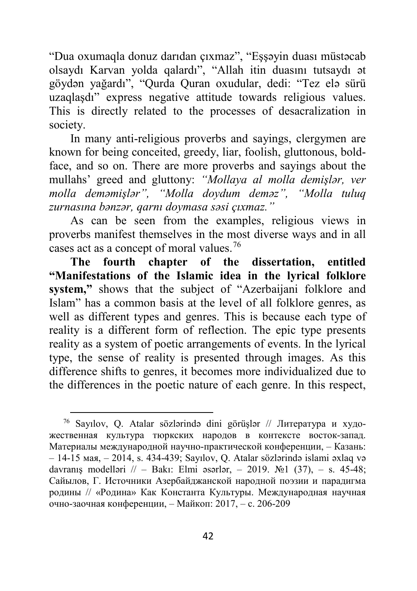"Dua oxumaqla donuz darıdan çıxmaz", "Eşşəyin duası müstəcab olsaydı Karvan yolda qalardı", "Allah itin duasını tutsaydı ət göydən yağardı", "Qurda Quran oxudular, dedi: "Tez elə sürü uzaqlaşdı" express negative attitude towards religious values. This is directly related to the processes of desacralization in society.

In many anti-religious proverbs and sayings, clergymen are known for being conceited, greedy, liar, foolish, gluttonous, boldface, and so on. There are more proverbs and sayings about the mullahs' greed and gluttony: *"Mollaya al molla demişlər, ver molla deməmişlər", "Molla doydum deməz", "Molla tuluq zurnasına bənzər, qarnı doymasa səsi çıxmaz."*

As can be seen from the examples, religious views in proverbs manifest themselves in the most diverse ways and in all cases act as a concept of moral values.<sup>[76](#page-41-0)</sup>

**The fourth chapter of the dissertation, entitled "Manifestations of the Islamic idea in the lyrical folklore system,"** shows that the subject of "Azerbaijani folklore and Islam" has a common basis at the level of all folklore genres, as well as different types and genres. This is because each type of reality is a different form of reflection. The epic type presents reality as a system of poetic arrangements of events. In the lyrical type, the sense of reality is presented through images. As this difference shifts to genres, it becomes more individualized due to the differences in the poetic nature of each genre. In this respect,

 $\ddot{\phantom{a}}$ 

<span id="page-41-0"></span><sup>76</sup> Sayılov, Q. Atalar sözlərində dini görüşlər // Литература и художественная культура тюркских народов в контексте восток-запад. Материалы международной научно-практической конференции, – Казань: – 14-15 мая, – 2014, s. 434-439; Sayılov, Q. Atalar sözlərində islami əxlaq və davranış modelləri // – Bakı: Elmi əsərlər, – 2019. №1 (37), – s. 45-48; Сайылов, Г. Источники Азербайджанской народной поэзии и парадигма родины // «Родина» Как Константа Культуры. Международная научная очно-заочная конференции, – Майкоп: 2017, – с. 206-209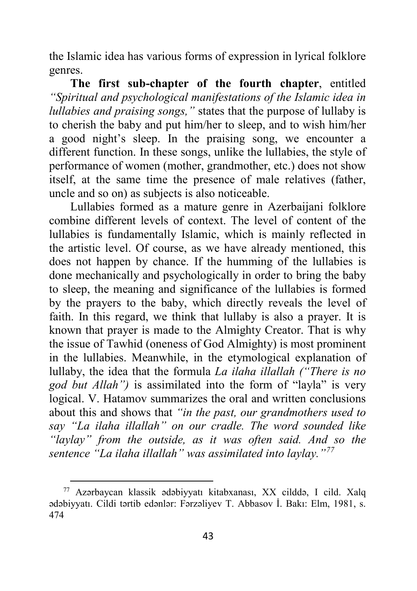the Islamic idea has various forms of expression in lyrical folklore genres.

**The first sub-chapter of the fourth chapter**, entitled *"Spiritual and psychological manifestations of the Islamic idea in lullabies and praising songs,"* states that the purpose of lullaby is to cherish the baby and put him/her to sleep, and to wish him/her a good night's sleep. In the praising song, we encounter a different function. In these songs, unlike the lullabies, the style of performance of women (mother, grandmother, etc.) does not show itself, at the same time the presence of male relatives (father, uncle and so on) as subjects is also noticeable.

Lullabies formed as a mature genre in Azerbaijani folklore combine different levels of context. The level of content of the lullabies is fundamentally Islamic, which is mainly reflected in the artistic level. Of course, as we have already mentioned, this does not happen by chance. If the humming of the lullabies is done mechanically and psychologically in order to bring the baby to sleep, the meaning and significance of the lullabies is formed by the prayers to the baby, which directly reveals the level of faith. In this regard, we think that lullaby is also a prayer. It is known that prayer is made to the Almighty Creator. That is why the issue of Tawhid (oneness of God Almighty) is most prominent in the lullabies. Meanwhile, in the etymological explanation of lullaby, the idea that the formula *La ilaha illallah ("There is no god but Allah")* is assimilated into the form of "layla" is very logical. V. Hatamov summarizes the oral and written conclusions about this and shows that *"in the past, our grandmothers used to say "La ilaha illallah" on our cradle. The word sounded like "laylay" from the outside, as it was often said. And so the sentence "La ilaha illallah" was assimilated into laylay."[77](#page-42-0)*

<span id="page-42-0"></span><sup>77</sup> Azərbaycan klassik ədəbiyyatı kitabxanası, XX cilddə, I cild. Xalq ədəbiyyatı. Cildi tərtib edənlər: Fərzəliyev T. Abbasov İ. Bakı: Elm, 1981, s. 474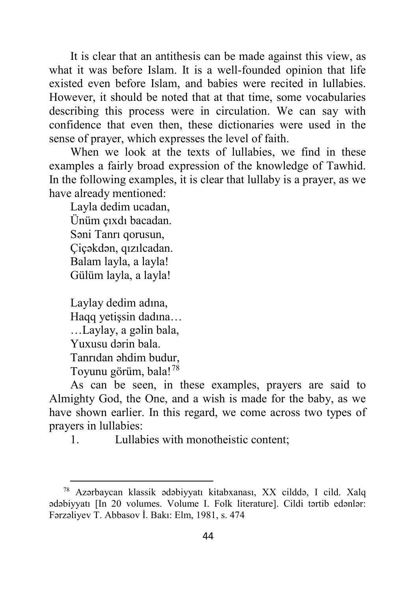It is clear that an antithesis can be made against this view, as what it was before Islam. It is a well-founded opinion that life existed even before Islam, and babies were recited in lullabies. However, it should be noted that at that time, some vocabularies describing this process were in circulation. We can say with confidence that even then, these dictionaries were used in the sense of prayer, which expresses the level of faith.

When we look at the texts of lullabies, we find in these examples a fairly broad expression of the knowledge of Tawhid. In the following examples, it is clear that lullaby is a prayer, as we have already mentioned:

Layla dedim ucadan, Ünüm çıxdı bacadan. Səni Tanrı qorusun, Çiçəkdən, qızılcadan. Balam layla, a layla! Gülüm layla, a layla!

Laylay dedim adına, Haqq yetişsin dadına… …Laylay, a gəlin bala, Yuxusu dərin bala. Tanrıdan əhdim budur, Toyunu görüm, bala![78](#page-43-0)

 $\overline{a}$ 

As can be seen, in these examples, prayers are said to Almighty God, the One, and a wish is made for the baby, as we have shown earlier. In this regard, we come across two types of prayers in lullabies:

1. Lullabies with monotheistic content;

<span id="page-43-0"></span><sup>78</sup> Azərbaycan klassik ədəbiyyatı kitabxanası, XX cilddə, I cild. Xalq ədəbiyyatı [In 20 volumes. Volume I. Folk literature]. Cildi tərtib edənlər: Fərzəliyev T. Abbasov İ. Bakı: Elm, 1981, s. 474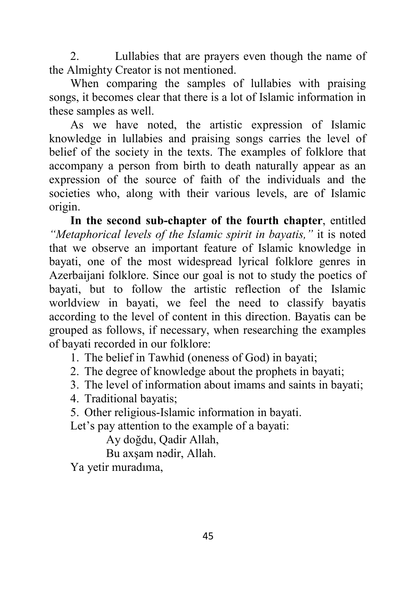2. Lullabies that are prayers even though the name of the Almighty Creator is not mentioned.

When comparing the samples of lullabies with praising songs, it becomes clear that there is a lot of Islamic information in these samples as well.

As we have noted, the artistic expression of Islamic knowledge in lullabies and praising songs carries the level of belief of the society in the texts. The examples of folklore that accompany a person from birth to death naturally appear as an expression of the source of faith of the individuals and the societies who, along with their various levels, are of Islamic origin.

**In the second sub-chapter of the fourth chapter**, entitled *"Metaphorical levels of the Islamic spirit in bayatis,"* it is noted that we observe an important feature of Islamic knowledge in bayati, one of the most widespread lyrical folklore genres in Azerbaijani folklore. Since our goal is not to study the poetics of bayati, but to follow the artistic reflection of the Islamic worldview in bayati, we feel the need to classify bayatis according to the level of content in this direction. Bayatis can be grouped as follows, if necessary, when researching the examples of bayati recorded in our folklore:

- 1. The belief in Tawhid (oneness of God) in bayati;
- 2. The degree of knowledge about the prophets in bayati;
- 3. The level of information about imams and saints in bayati;
- 4. Traditional bayatis;
- 5. Other religious-Islamic information in bayati.

Let's pay attention to the example of a bayati:

Ay doğdu, Qadir Allah,

Bu axşam nədir, Allah.

Ya yetir muradıma,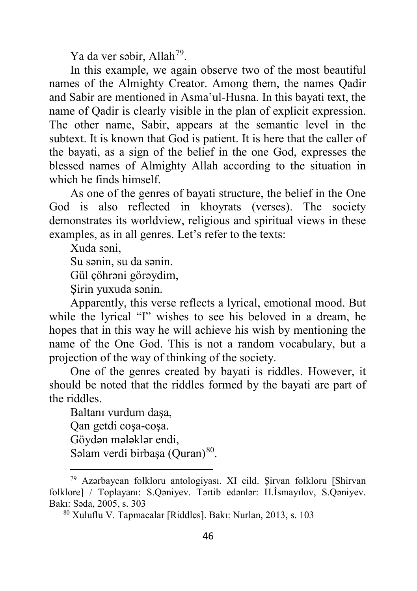Ya da ver səbir, Allah<sup>[79](#page-45-0)</sup>.

In this example, we again observe two of the most beautiful names of the Almighty Creator. Among them, the names Qadir and Sabir are mentioned in Asma'ul-Husna. In this bayati text, the name of Qadir is clearly visible in the plan of explicit expression. The other name, Sabir, appears at the semantic level in the subtext. It is known that God is patient. It is here that the caller of the bayati, as a sign of the belief in the one God, expresses the blessed names of Almighty Allah according to the situation in which he finds himself.

As one of the genres of bayati structure, the belief in the One God is also reflected in khoyrats (verses). The society demonstrates its worldview, religious and spiritual views in these examples, as in all genres. Let's refer to the texts:

Xuda səni,

 $\overline{a}$ 

Su sənin, su da sənin.

Gül çöhrəni görəydim,

Şirin yuxuda sənin.

Apparently, this verse reflects a lyrical, emotional mood. But while the lyrical "I" wishes to see his beloved in a dream, he hopes that in this way he will achieve his wish by mentioning the name of the One God. This is not a random vocabulary, but a projection of the way of thinking of the society.

One of the genres created by bayati is riddles. However, it should be noted that the riddles formed by the bayati are part of the riddles.

Baltanı vurdum daşa, Qan getdi coşa-coşa. Göydən mələklər endi, Səlam verdi birbaşa (Quran)<sup>[80](#page-45-1)</sup>.

<span id="page-45-1"></span><span id="page-45-0"></span><sup>79</sup> Azərbaycan folkloru antologiyası. XI cild. Şirvan folkloru [Shirvan folklore] / Toplayanı: S.Qəniyev. Tərtib edənlər: H.İsmayılov, S.Qəniyev. Bakı: Səda, 2005, s. 303

<sup>80</sup> Xuluflu V. Tapmacalar [Riddles]. Bakı: Nurlan, 2013, s. 103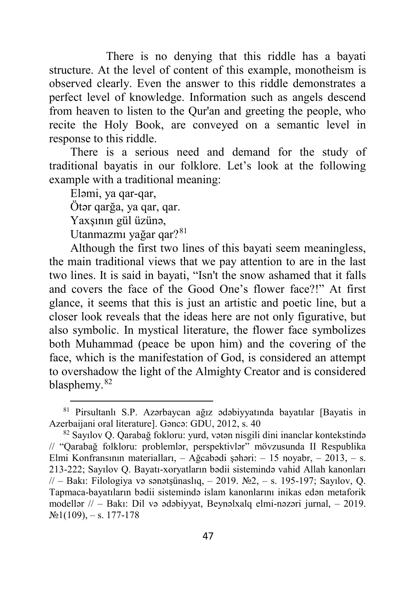There is no denying that this riddle has a bayati structure. At the level of content of this example, monotheism is observed clearly. Even the answer to this riddle demonstrates a perfect level of knowledge. Information such as angels descend from heaven to listen to the Qur'an and greeting the people, who recite the Holy Book, are conveyed on a semantic level in response to this riddle.

There is a serious need and demand for the study of traditional bayatis in our folklore. Let's look at the following example with a traditional meaning:

Eləmi, ya qar-qar,

 $\overline{a}$ 

Ötər qarğa, ya qar, qar.

Yaxşının gül üzünə,

Utanmazmı yağar qar?<sup>[81](#page-46-0)</sup>

Although the first two lines of this bayati seem meaningless, the main traditional views that we pay attention to are in the last two lines. It is said in bayati, "Isn't the snow ashamed that it falls and covers the face of the Good One's flower face?!" At first glance, it seems that this is just an artistic and poetic line, but a closer look reveals that the ideas here are not only figurative, but also symbolic. In mystical literature, the flower face symbolizes both Muhammad (peace be upon him) and the covering of the face, which is the manifestation of God, is considered an attempt to overshadow the light of the Almighty Creator and is considered blasphemy.[82](#page-46-1)

<span id="page-46-0"></span><sup>81</sup> Pirsultanlı S.P. Azərbaycan ağız ədəbiyyatında bayatılar [Bayatis in Azerbaijani oral literature]. Gəncə: GDU, 2012, s. 40

<span id="page-46-1"></span><sup>82</sup> Sayılov Q. Qarabağ fokloru: yurd, vətən nisgili dini inanclar kontekstində // "Qarabağ folkloru: problemlər, perspektivlər" mövzusunda II Respublika Elmi Konfransının materialları, – Ağcabədi şəhəri: – 15 noyabr, – 2013, – s. 213-222; Sayılov Q. Bayatı-xoryatların bədii sistemində vahid Allah kanonları // – Bakı: Filologiya və sənətşünaslıq, – 2019. №2, – s. 195-197; Sayılov, Q. Tapmaca-bayatıların bədii sistemində islam kanonlarını inikas edən metaforik modellər // – Bakı: Dil və ədəbiyyat, Beynəlxalq elmi-nəzəri jurnal, – 2019.  $\mathcal{N}$ <sup>o</sup> $1(109)$ , - s. 177-178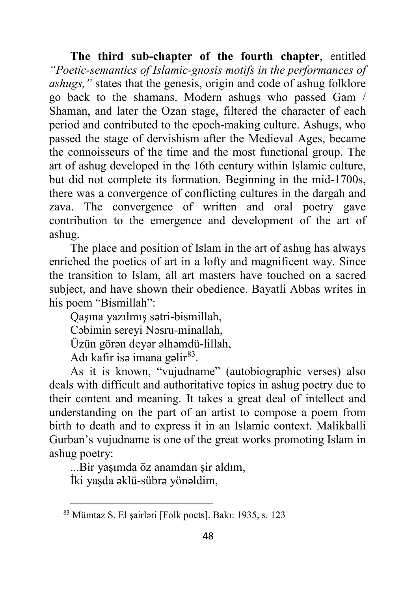**The third sub-chapter of the fourth chapter**, entitled *"Poetic-semantics of Islamic-gnosis motifs in the performances of ashugs,"* states that the genesis, origin and code of ashug folklore go back to the shamans. Modern ashugs who passed Gam / Shaman, and later the Ozan stage, filtered the character of each period and contributed to the epoch-making culture. Ashugs, who passed the stage of dervishism after the Medieval Ages, became the connoisseurs of the time and the most functional group. The art of ashug developed in the 16th century within Islamic culture, but did not complete its formation. Beginning in the mid-1700s, there was a convergence of conflicting cultures in the dargah and zava. The convergence of written and oral poetry gave contribution to the emergence and development of the art of ashug.

The place and position of Islam in the art of ashug has always enriched the poetics of art in a lofty and magnificent way. Since the transition to Islam, all art masters have touched on a sacred subject, and have shown their obedience. Bayatli Abbas writes in his poem "Bismillah":

Qaşına yazılmış sətri-bismillah,

Cəbimin sereyi Nəsru-minallah,

Üzün görən deyər əlhəmdü-lillah,

Adı kafir isə imana gəli $r^{83}$  $r^{83}$  $r^{83}$ .

As it is known, "vujudname" (autobiographic verses) also deals with difficult and authoritative topics in ashug poetry due to their content and meaning. It takes a great deal of intellect and understanding on the part of an artist to compose a poem from birth to death and to express it in an Islamic context. Malikballi Gurban's vujudname is one of the great works promoting Islam in ashug poetry:

...Bir yaşımda öz anamdan şir aldım,

İki yaşda əklü-sübrə yönəldim,

<span id="page-47-0"></span> $\overline{a}$ <sup>83</sup> Mümtaz S. El şairləri [Folk poets]. Bakı: 1935, s. 123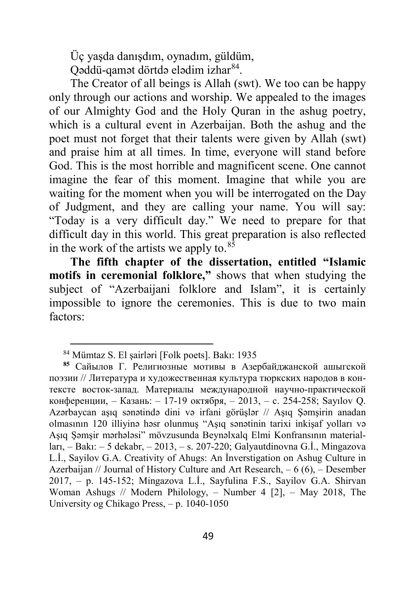Üç yaşda danışdım, oynadım, güldüm,

Qəddü-qamət dörtdə elədim izhar[84](#page-48-0).

The Creator of all beings is Allah (swt). We too can be happy only through our actions and worship. We appealed to the images of our Almighty God and the Holy Quran in the ashug poetry, which is a cultural event in Azerbaijan. Both the ashug and the poet must not forget that their talents were given by Allah (swt) and praise him at all times. In time, everyone will stand before God. This is the most horrible and magnificent scene. One cannot imagine the fear of this moment. Imagine that while you are waiting for the moment when you will be interrogated on the Day of Judgment, and they are calling your name. You will say: "Today is a very difficult day." We need to prepare for that difficult day in this world. This great preparation is also reflected in the work of the artists we apply to. $85$ 

**The fifth chapter of the dissertation, entitled "Islamic motifs in ceremonial folklore,"** shows that when studying the subject of "Azerbaijani folklore and Islam", it is certainly impossible to ignore the ceremonies. This is due to two main factors:

1

<sup>84</sup> Mümtaz S. El şairləri [Folk poets]. Bakı: 1935

<span id="page-48-1"></span><span id="page-48-0"></span>**<sup>85</sup>** Сайылов Г. Религиозные мотивы в Азербайджанской ашыгской поэзии // Литература и художественная культура тюркских народов в контексте восток-запад. Материалы международной научно-практической конференции, – Казань: – 17-19 октября, – 2013, – с. 254-258; Sayılov Q. Azərbaycan aşıq sənətində dini və irfani görüşlər // Aşıq Şəmşirin anadan olmasının 120 illiyinə həsr olunmuş "Aşıq sənətinin tarixi inkişaf yolları və Aşıq Şəmşir mərhələsi" mövzusunda Beynəlxalq Elmi Konfransının materialları, – Bakı: – 5 dekabr, – 2013, – s. 207-220; Galyautdinovna G.İ., Mingazova L.İ., Sayilov G.A. Creativity of Ahugs: An İnverstigation on Ashug Culture in Azerbaijan // Journal of History Culture and Art Research, – 6 (6), – Desember 2017, – p. 145-152; Mingazova L.İ., Sayfulina F.S., Sayilov G.A. Shirvan Woman Ashugs // Modern Philology, – Number 4 [2], – May 2018, The University og Chikago Press, – p. 1040-1050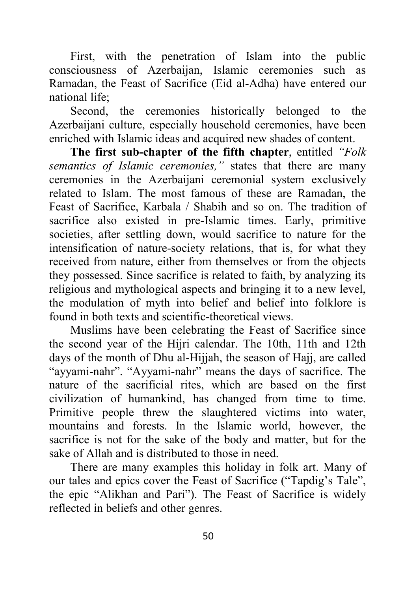First, with the penetration of Islam into the public consciousness of Azerbaijan, Islamic ceremonies such as Ramadan, the Feast of Sacrifice (Eid al-Adha) have entered our national life;

Second, the ceremonies historically belonged to the Azerbaijani culture, especially household ceremonies, have been enriched with Islamic ideas and acquired new shades of content.

**The first sub-chapter of the fifth chapter**, entitled *"Folk semantics of Islamic ceremonies,"* states that there are many ceremonies in the Azerbaijani ceremonial system exclusively related to Islam. The most famous of these are Ramadan, the Feast of Sacrifice, Karbala / Shabih and so on. The tradition of sacrifice also existed in pre-Islamic times. Early, primitive societies, after settling down, would sacrifice to nature for the intensification of nature-society relations, that is, for what they received from nature, either from themselves or from the objects they possessed. Since sacrifice is related to faith, by analyzing its religious and mythological aspects and bringing it to a new level, the modulation of myth into belief and belief into folklore is found in both texts and scientific-theoretical views.

Muslims have been celebrating the Feast of Sacrifice since the second year of the Hijri calendar. The 10th, 11th and 12th days of the month of Dhu al-Hijjah, the season of Hajj, are called "ayyami-nahr". "Ayyami-nahr" means the days of sacrifice. The nature of the sacrificial rites, which are based on the first civilization of humankind, has changed from time to time. Primitive people threw the slaughtered victims into water, mountains and forests. In the Islamic world, however, the sacrifice is not for the sake of the body and matter, but for the sake of Allah and is distributed to those in need.

There are many examples this holiday in folk art. Many of our tales and epics cover the Feast of Sacrifice ("Tapdig's Tale", the epic "Alikhan and Pari"). The Feast of Sacrifice is widely reflected in beliefs and other genres.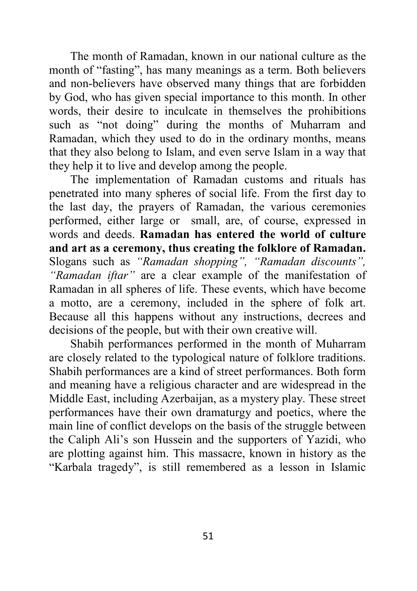The month of Ramadan, known in our national culture as the month of "fasting", has many meanings as a term. Both believers and non-believers have observed many things that are forbidden by God, who has given special importance to this month. In other words, their desire to inculcate in themselves the prohibitions such as "not doing" during the months of Muharram and Ramadan, which they used to do in the ordinary months, means that they also belong to Islam, and even serve Islam in a way that they help it to live and develop among the people.

The implementation of Ramadan customs and rituals has penetrated into many spheres of social life. From the first day to the last day, the prayers of Ramadan, the various ceremonies performed, either large or small, are, of course, expressed in words and deeds. **Ramadan has entered the world of culture and art as a ceremony, thus creating the folklore of Ramadan.** Slogans such as *"Ramadan shopping", "Ramadan discounts", "Ramadan iftar"* are a clear example of the manifestation of Ramadan in all spheres of life. These events, which have become a motto, are a ceremony, included in the sphere of folk art. Because all this happens without any instructions, decrees and decisions of the people, but with their own creative will.

Shabih performances performed in the month of Muharram are closely related to the typological nature of folklore traditions. Shabih performances are a kind of street performances. Both form and meaning have a religious character and are widespread in the Middle East, including Azerbaijan, as a mystery play. These street performances have their own dramaturgy and poetics, where the main line of conflict develops on the basis of the struggle between the Caliph Ali's son Hussein and the supporters of Yazidi, who are plotting against him. This massacre, known in history as the "Karbala tragedy", is still remembered as a lesson in Islamic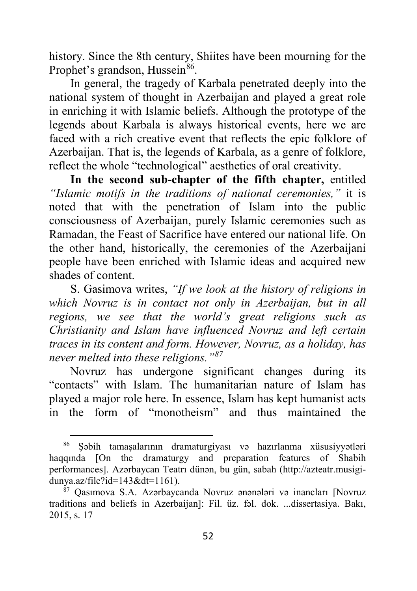history. Since the 8th century, Shiites have been mourning for the Prophet's grandson, Hussein<sup>[86](#page-51-0)</sup>.

In general, the tragedy of Karbala penetrated deeply into the national system of thought in Azerbaijan and played a great role in enriching it with Islamic beliefs. Although the prototype of the legends about Karbala is always historical events, here we are faced with a rich creative event that reflects the epic folklore of Azerbaijan. That is, the legends of Karbala, as a genre of folklore, reflect the whole "technological" aesthetics of oral creativity.

**In the second sub-chapter of the fifth chapter,** entitled *"Islamic motifs in the traditions of national ceremonies,"* it is noted that with the penetration of Islam into the public consciousness of Azerbaijan, purely Islamic ceremonies such as Ramadan, the Feast of Sacrifice have entered our national life. On the other hand, historically, the ceremonies of the Azerbaijani people have been enriched with Islamic ideas and acquired new shades of content.

S. Gasimova writes, *"If we look at the history of religions in which Novruz is in contact not only in Azerbaijan, but in all regions, we see that the world's great religions such as Christianity and Islam have influenced Novruz and left certain traces in its content and form. However, Novruz, as a holiday, has never melted into these religions."[87](#page-51-1)*

Novruz has undergone significant changes during its "contacts" with Islam. The humanitarian nature of Islam has played a major role here. In essence, Islam has kept humanist acts in the form of "monotheism" and thus maintained the

<span id="page-51-0"></span><sup>86</sup> Şəbih tamaşalarının dramaturgiyası və hazırlanma xüsusiyyətləri haqqında [On the dramaturgy and preparation features of Shabih performances]. Azərbaycan Teatrı dünən, bu gün, sabah (http://azteatr.musigidunya.az/file?id=143&dt=1161).

<span id="page-51-1"></span><sup>87</sup> Qasımova S.A. Azərbaycanda Novruz ənənələri və inancları [Novruz traditions and beliefs in Azerbaijan]: Fil. üz. fəl. dok. ...dissertasiya. Bakı, 2015, s. 17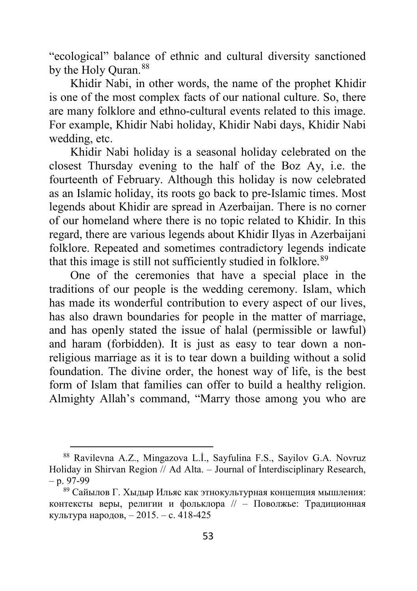"ecological" balance of ethnic and cultural diversity sanctioned by the Holy Ouran.<sup>[88](#page-52-0)</sup>

Khidir Nabi, in other words, the name of the prophet Khidir is one of the most complex facts of our national culture. So, there are many folklore and ethno-cultural events related to this image. For example, Khidir Nabi holiday, Khidir Nabi days, Khidir Nabi wedding, etc.

Khidir Nabi holiday is a seasonal holiday celebrated on the closest Thursday evening to the half of the Boz Ay, i.e. the fourteenth of February. Although this holiday is now celebrated as an Islamic holiday, its roots go back to pre-Islamic times. Most legends about Khidir are spread in Azerbaijan. There is no corner of our homeland where there is no topic related to Khidir. In this regard, there are various legends about Khidir Ilyas in Azerbaijani folklore. Repeated and sometimes contradictory legends indicate that this image is still not sufficiently studied in folklore.<sup>[89](#page-52-1)</sup>

One of the ceremonies that have a special place in the traditions of our people is the wedding ceremony. Islam, which has made its wonderful contribution to every aspect of our lives, has also drawn boundaries for people in the matter of marriage, and has openly stated the issue of halal (permissible or lawful) and haram (forbidden). It is just as easy to tear down a nonreligious marriage as it is to tear down a building without a solid foundation. The divine order, the honest way of life, is the best form of Islam that families can offer to build a healthy religion. Almighty Allah's command, "Marry those among you who are

 $\ddot{\phantom{a}}$ 

<span id="page-52-0"></span><sup>88</sup> Ravilevna A.Z., Mingazova L.İ., Sayfulina F.S., Sayilov G.A. Novruz Holiday in Shirvan Region // Ad Alta. – Journal of İnterdisciplinary Research,  $- p. 97-99$ 

<span id="page-52-1"></span><sup>89</sup> Сайылов Г. Хыдыр Ильяс как этнокультурная концепция мышления: контексты веры, религии и фольклора // – Поволжье: Традиционная культура народов, – 2015. – с. 418-425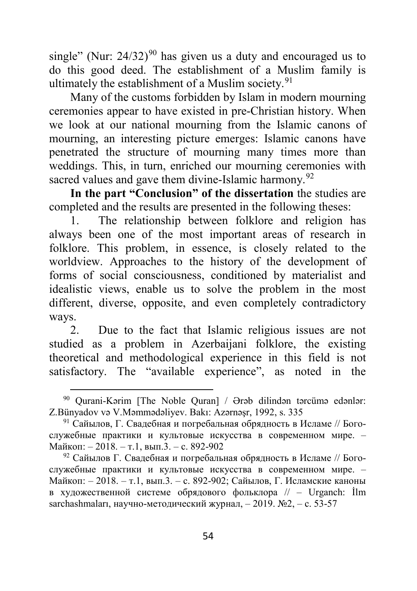single" (Nur:  $24/32$ )<sup>[90](#page-53-0)</sup> has given us a duty and encouraged us to do this good deed. The establishment of a Muslim family is ultimately the establishment of a Muslim society. $91$ 

Many of the customs forbidden by Islam in modern mourning ceremonies appear to have existed in pre-Christian history. When we look at our national mourning from the Islamic canons of mourning, an interesting picture emerges: Islamic canons have penetrated the structure of mourning many times more than weddings. This, in turn, enriched our mourning ceremonies with sacred values and gave them divine-Islamic harmony.<sup>[92](#page-53-2)</sup>

**In the part "Conclusion" of the dissertation** the studies are completed and the results are presented in the following theses:

1. The relationship between folklore and religion has always been one of the most important areas of research in folklore. This problem, in essence, is closely related to the worldview. Approaches to the history of the development of forms of social consciousness, conditioned by materialist and idealistic views, enable us to solve the problem in the most different, diverse, opposite, and even completely contradictory ways.

2. Due to the fact that Islamic religious issues are not studied as a problem in Azerbaijani folklore, the existing theoretical and methodological experience in this field is not satisfactory. The "available experience", as noted in the

<span id="page-53-0"></span><sup>90</sup> Qurani-Kərim [The Noble Quran] / Ərəb dilindən tərcümə edənlər: Z.Bünyadov və V.Məmmədəliyev. Bakı: Azərnəşr, 1992, s. 335

<span id="page-53-1"></span><sup>91</sup> Сайылов, Г. Свадебная и погребальная обрядность в Исламе // Богослужебные практики и культовые искусства в современном мире. – Майкоп: – 2018. – т.1, вып.3. – с. 892-902

<span id="page-53-2"></span><sup>&</sup>lt;sup>92</sup> Сайылов Г. Свадебная и погребальная обрядность в Исламе // Богослужебные практики и культовые искусства в современном мире. – Майкоп: – 2018. – т.1, вып.3. – с. 892-902; Сайылов, Г. Исламские каноны в художественной системе обрядового фольклора // – Urganch: İlm sarchashmaları, научно-методический журнал,  $-2019$ . №2,  $-$  с. 53-57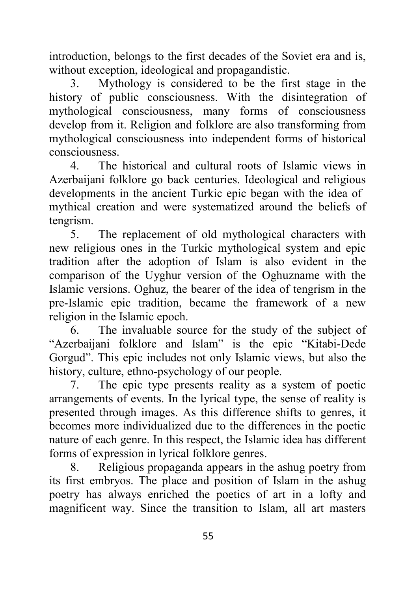introduction, belongs to the first decades of the Soviet era and is, without exception, ideological and propagandistic.

3. Mythology is considered to be the first stage in the history of public consciousness. With the disintegration of mythological consciousness, many forms of consciousness develop from it. Religion and folklore are also transforming from mythological consciousness into independent forms of historical consciousness.

4. The historical and cultural roots of Islamic views in Azerbaijani folklore go back centuries. Ideological and religious developments in the ancient Turkic epic began with the idea of mythical creation and were systematized around the beliefs of tengrism.

5. The replacement of old mythological characters with new religious ones in the Turkic mythological system and epic tradition after the adoption of Islam is also evident in the comparison of the Uyghur version of the Oghuzname with the Islamic versions. Oghuz, the bearer of the idea of tengrism in the pre-Islamic epic tradition, became the framework of a new religion in the Islamic epoch.

6. The invaluable source for the study of the subject of "Azerbaijani folklore and Islam" is the epic "Kitabi-Dede Gorgud". This epic includes not only Islamic views, but also the history, culture, ethno-psychology of our people.

7. The epic type presents reality as a system of poetic arrangements of events. In the lyrical type, the sense of reality is presented through images. As this difference shifts to genres, it becomes more individualized due to the differences in the poetic nature of each genre. In this respect, the Islamic idea has different forms of expression in lyrical folklore genres.

8. Religious propaganda appears in the ashug poetry from its first embryos. The place and position of Islam in the ashug poetry has always enriched the poetics of art in a lofty and magnificent way. Since the transition to Islam, all art masters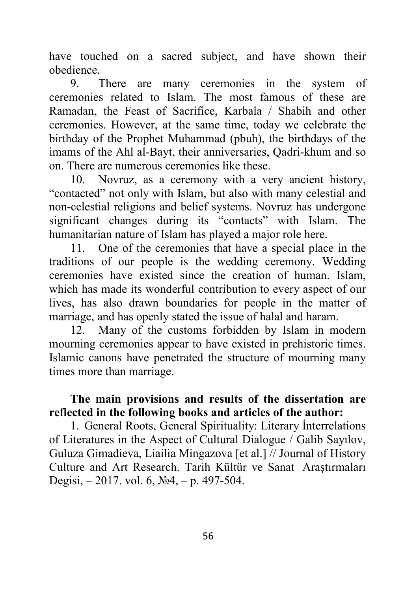have touched on a sacred subject, and have shown their obedience.

9. There are many ceremonies in the system of ceremonies related to Islam. The most famous of these are Ramadan, the Feast of Sacrifice, Karbala / Shabih and other ceremonies. However, at the same time, today we celebrate the birthday of the Prophet Muhammad (pbuh), the birthdays of the imams of the Ahl al-Bayt, their anniversaries, Qadri-khum and so on. There are numerous ceremonies like these.

10. Novruz, as a ceremony with a very ancient history, "contacted" not only with Islam, but also with many celestial and non-celestial religions and belief systems. Novruz has undergone significant changes during its "contacts" with Islam. The humanitarian nature of Islam has played a major role here.

11. One of the ceremonies that have a special place in the traditions of our people is the wedding ceremony. Wedding ceremonies have existed since the creation of human. Islam, which has made its wonderful contribution to every aspect of our lives, has also drawn boundaries for people in the matter of marriage, and has openly stated the issue of halal and haram.

12. Many of the customs forbidden by Islam in modern mourning ceremonies appear to have existed in prehistoric times. Islamic canons have penetrated the structure of mourning many times more than marriage.

## **The main provisions and results of the dissertation are reflected in the following books and articles of the author:**

1. General Roots, General Spirituality: Literary İnterrelations of Literatures in the Aspect of Cultural Dialogue / Galib Sayılov, Guluza Gimadieva, Liailia Mingazova [et al.] // Journal of History Culture and Art Research. Tarih Kültür ve Sanat Araştırmaları Degisi, – 2017. vol. 6, №4, – p. 497-504.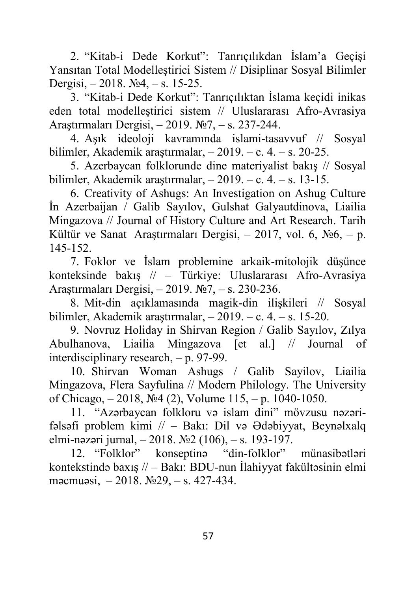2. "Kitab-i Dede Korkut": Tanrıçılıkdan İslam'a Geçişi Yansıtan Total Modelleştirici Sistem // Disiplinar Sosyal Bilimler Dergisi, – 2018. №4, – s. 15-25.

3. "Kitab-i Dede Korkut": Tanrıçılıktan İslama keçidi inikas eden total modelleştirici sistem // Uluslararası Afro-Avrasiya Araştırmaları Dergisi, – 2019. №7, – s. 237-244.

4. Aşık ideoloji kavramında islami-tasavvuf // Sosyal bilimler, Akademik araştırmalar, – 2019. – c. 4. – s. 20-25.

5. Azerbaycan folklorunde dine materiyalist bakış // Sosyal bilimler, Akademik araştırmalar, – 2019. – c. 4. – s. 13-15.

6. Creativity of Ashugs: An Investigation on Ashug Culture İn Azerbaijan / Galib Sayılov, Gulshat Galyautdinova, Liailia Mingazova // Journal of History Culture and Art Research. Tarih Kültür ve Sanat Araştırmaları Dergisi,  $-2017$ , vol. 6, No 6,  $- p$ . 145-152.

7. Foklor ve İslam problemine arkaik-mitolojik düşünce konteksinde bakış // – Türkiye: Uluslararası Afro-Avrasiya Araştırmaları Dergisi, – 2019. №7, – s. 230-236.

8. Mit-din açıklamasında magik-din ilişkileri // Sosyal bilimler, Akademik araştırmalar, – 2019. – c. 4. – s. 15-20.

9. Novruz Holiday in Shirvan Region / Galib Sayılov, Zılya Abulhanova, Liailia Mingazova [et al.] // Journal of interdisciplinary research, – p. 97-99.

10. Shirvan Woman Ashugs / Galib Sayilov, Liailia Mingazova, Flera Sayfulina // Modern Philology. The University of Chicago, – 2018, №4 (2), Volume 115, – p. 1040-1050.

11. "Azərbaycan folkloru və islam dini" mövzusu nəzərifəlsəfi problem kimi // – Bakı: Dil və Ədəbiyyat, Beynəlxalq elmi-nəzəri jurnal, – 2018. №2 (106), – s. 193-197.

12. "Folklor" konseptinə "din-folklor" münasibətləri kontekstində baxış // – Bakı: BDU-nun İlahiyyat fakültəsinin elmi məcmuəsi, – 2018. №29, – s. 427-434.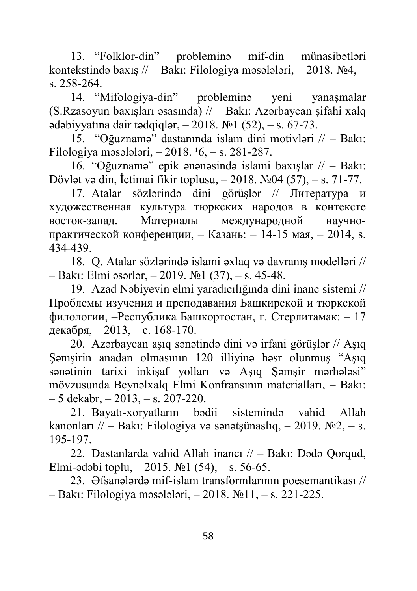13. "Folklor-din" probleminə mif-din münasibətləri kontekstində baxış // – Bakı: Filologiya məsələləri, – 2018. №4, – s. 258-264.

14. "Mifologiya-din" probleminə yeni yanaşmalar (S.Rzasoyun baxışları əsasında) // – Bakı: Azərbaycan şifahi xalq ədəbiyyatına dair tədqiqlər,  $-2018$ .  $\text{N}$ <sup>o</sup>  $1(52)$ ,  $-$  s. 67-73.

15. "Oğuznamə" dastanında islam dini motivləri // – Bakı: Filologiya məsələləri,  $-2018.16, -s.281-287$ .

16. "Oğuznamə" epik ənənəsində islami baxışlar // – Bakı: Dövlət və din, İctimai fikir toplusu, – 2018. №04 (57), – s. 71-77.

17. Atalar sözlərində dini görüşlər // Литература и художественная культура тюркских народов в контексте восток-запад. Материалы международной научнопрактической конференции, – Казань: – 14-15 мая, – 2014, s. 434-439.

18. Q. Atalar sözlərində islami əxlaq və davranış modelləri // – Bakı: Elmi əsərlər, – 2019. №1 (37), – s. 45-48.

19. Azad Nəbiyevin elmi yaradıcılığında dini inanc sistemi // Проблемы изучения и преподавания Башкирской и тюркской филологии, –Республика Башкортостан, г. Стерлитамак: – 17 декабря, – 2013, – с. 168-170.

20. Azərbaycan aşıq sənətində dini və irfani görüşlər // Aşıq Şəmşirin anadan olmasının 120 illiyinə həsr olunmuş "Aşıq sənətinin tarixi inkişaf yolları və Aşıq Şəmşir mərhələsi" mövzusunda Beynəlxalq Elmi Konfransının materialları, – Bakı:  $-5$  dekabr,  $-2013$ ,  $-$  s. 207-220.

21. Bayatı-xoryatların bədii sistemində vahid Allah kanonları // – Bakı: Filologiya və sənətsünaslıq, – 2019.  $\mathbb{N}^2$ , – s. 195-197.

22. Dastanlarda vahid Allah inancı // – Bakı: Dədə Qorqud, Elmi-ədəbi toplu, – 2015.  $\mathbb{N}$ 21 (54), – s. 56-65.

23. Əfsanələrdə mif-islam transformlarının poesemantikası // – Bakı: Filologiya məsələləri, – 2018. №11, – s. 221-225.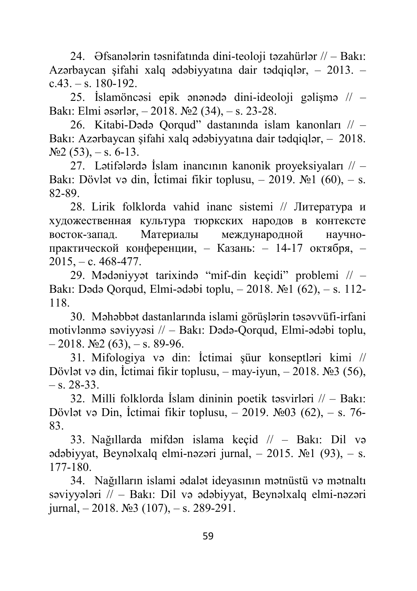24. Əfsanələrin təsnifatında dini-teoloji təzahürlər // – Bakı: Azərbaycan şifahi xalq ədəbiyyatına dair tədqiqlər, – 2013. –  $c.43. - s. 180 - 192.$ 

25. İslamöncəsi epik ənənədə dini-ideoloji gəlişmə // – Bakı: Elmi əsərlər, – 2018. №2 (34), – s. 23-28.

26. Kitabi-Dədə Qorqud" dastanında islam kanonları // – Bakı: Azərbaycan şifahi xalq ədəbiyyatına dair tədqiqlər, – 2018.  $N<sub>2</sub>$  (53), – s. 6-13.

27. Lətifələrdə İslam inancının kanonik proyeksiyaları // – Bakı: Dövlət və din, İctimai fikir toplusu, – 2019. №1 (60), – s. 82-89.

28. Lirik folklorda vahid inanc sistemi // Литература и художественная культура тюркских народов в контексте восток-запад. Материалы международной научнопрактической конференции, – Казань: – 14-17 октября, –  $2015, -c.468 - 477.$ 

29. Mədəniyyət tarixində "mif-din keçidi" problemi // – Bakı: Dədə Qorqud, Elmi-ədəbi toplu, – 2018. №1 (62), – s. 112- 118.

30. Məhəbbət dastanlarında islami görüşlərin təsəvvüfi-irfani motivlənmə səviyyəsi // – Bakı: Dədə-Qorqud, Elmi-ədəbi toplu,  $-2018.$  №2 (63),  $-$  s. 89-96.

31. Mifologiya və din: İctimai şüur konseptləri kimi // Dövlət və din, İctimai fikir toplusu, – may-iyun, – 2018. №3 (56),  $-$  s. 28-33.

32. Milli folklorda İslam dininin poetik təsvirləri // – Bakı: Dövlət və Din, İctimai fikir toplusu, – 2019. №03 (62), – s. 76- 83.

33. Nağıllarda mifdən islama keçid // – Bakı: Dil və ədəbiyyat, Beynəlxalq elmi-nəzəri jurnal,  $-2015$ .  $\mathbb{N}$ <sup>1</sup> (93),  $-$  s. 177-180.

34. Nağılların islami ədalət ideyasının mətnüstü və mətnaltı səviyyələri // – Bakı: Dil və ədəbiyyat, Beynəlxalq elmi-nəzəri jurnal,  $-2018$ . №3 (107),  $-$  s. 289-291.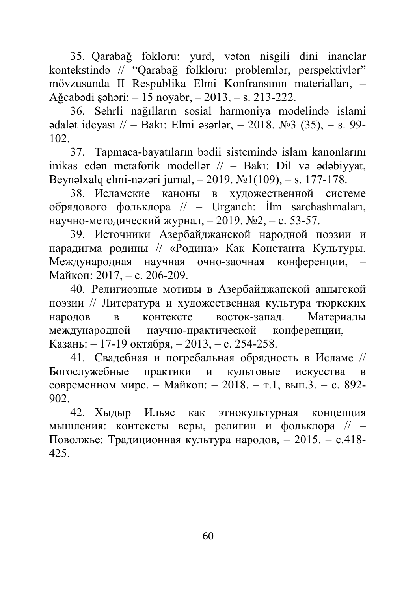35. Qarabağ fokloru: yurd, vətən nisgili dini inanclar kontekstində // "Qarabağ folkloru: problemlər, perspektivlər" mövzusunda II Respublika Elmi Konfransının materialları, – Ağcabədi şəhəri: – 15 noyabr, – 2013, – s. 213-222.

36. Sehrli nağılların sosial harmoniya modelində islami ədalət ideyası // – Bakı: Elmi əsərlər, – 2018.  $\mathcal{N}$  = 3 (35), – s. 99-102.

37. Tapmaca-bayatıların bədii sistemində islam kanonlarını inikas edən metaforik modellər // – Bakı: Dil və ədəbiyyat, Beynəlxalq elmi-nəzəri jurnal, – 2019. №1(109), – s. 177-178.

38. Исламские каноны в художественной системе обрядового фольклора // – Urganch: İlm sarchashmaları, научно-методический журнал, – 2019. №2, – с. 53-57.

39. Источники Азербайджанской народной поэзии и парадигма родины // «Родина» Как Константа Культуры. Международная научная очно-заочная конференции, Майкоп: 2017, – с. 206-209.

40. Религиозные мотивы в Азербайджанской ашыгской поэзии // Литература и художественная культура тюркских народов в контексте восток-запад. Материалы международной научно-практической конференции, – Казань: – 17-19 октября, – 2013, – с. 254-258.

41. Свадебная и погребальная обрядность в Исламе // Богослужебные практики и культовые искусства в современном мире. – Майкоп: – 2018. – т.1, вып.3. – с. 892- 902.

42. Хыдыр Ильяс как этнокультурная концепция мышления: контексты веры, религии и фольклора // – Поволжье: Традиционная культура народов, – 2015. – с.418- 425.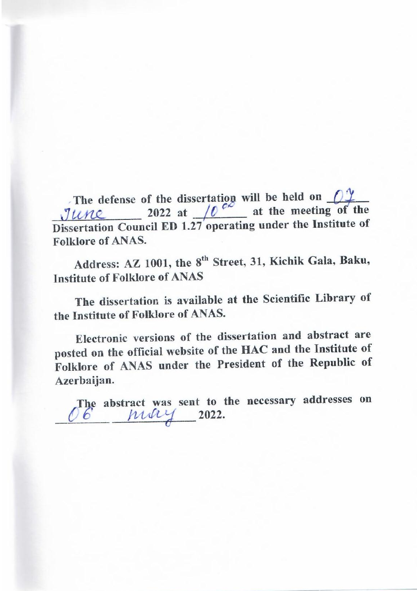**\_\_\_\_\_\_\_\_\_\_\_\_\_\_\_ 2022 at \_\_\_\_\_\_\_\_\_ at the meeting of the Discrete The detense of the unsertation will be fired on the Institute of the Institute of the** <u>Fune</u> **Folklore of ANAS.** 

Address: AZ 1001, the 8<sup>th</sup> Street, 31, Kichik Gala, Baku, **Institute of Folklore of ANAS** 

The dissertation is available at the Scientific Library of the Institute of Folklore of ANAS.

**Electronic versions of the dissertation and abstract are** posted on the official website of the HAC and the Institute of Folklore of ANAS under the President of the Republic of Azerbaijan.

The abstract was sent to the necessary addresses on 6 may 2022.